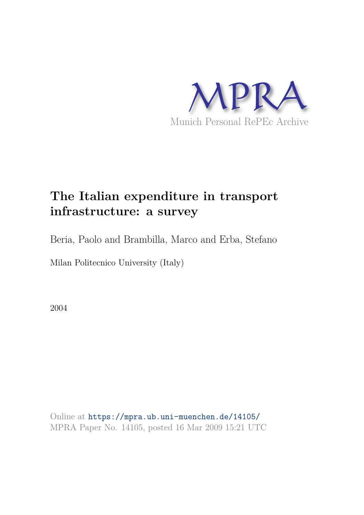

# **The Italian expenditure in transport infrastructure: a survey**

Beria, Paolo and Brambilla, Marco and Erba, Stefano

Milan Politecnico University (Italy)

2004

Online at https://mpra.ub.uni-muenchen.de/14105/ MPRA Paper No. 14105, posted 16 Mar 2009 15:21 UTC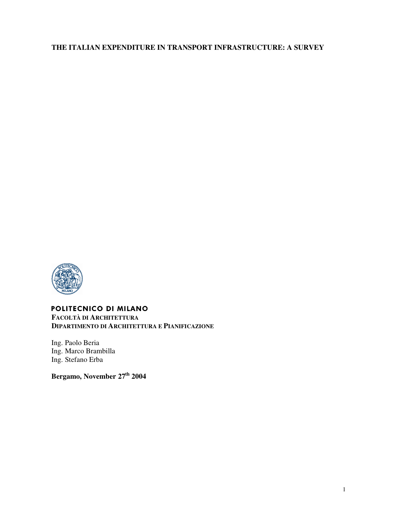## **THE ITALIAN EXPENDITURE IN TRANSPORT INFRASTRUCTURE: A SURVEY**



## POLITECNICO DI MILANO

**FACOLTÀ DI ARCHITETTURA DIPARTIMENTO DI ARCHITETTURA E PIANIFICAZIONE** 

Ing. Paolo Beria Ing. Marco Brambilla Ing. Stefano Erba

**Bergamo, November 27th 2004**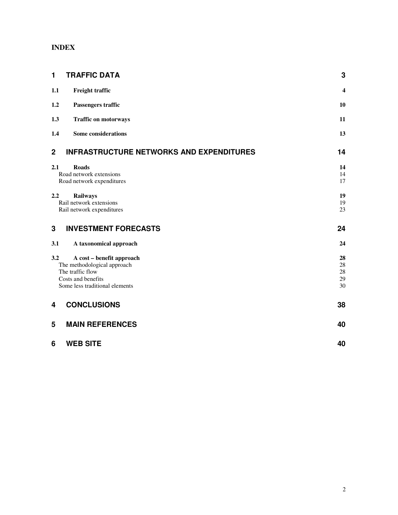## **INDEX**

| 1              | <b>TRAFFIC DATA</b>                                  | 3        |
|----------------|------------------------------------------------------|----------|
| 1.1            | Freight traffic                                      | 4        |
| 1.2            | Passengers traffic                                   | 10       |
| 1.3            | <b>Traffic on motorways</b>                          | 11       |
| 1.4            | <b>Some considerations</b>                           | 13       |
| $\overline{2}$ | <b>INFRASTRUCTURE NETWORKS AND EXPENDITURES</b>      | 14       |
| 2.1            | <b>Roads</b>                                         | 14       |
|                | Road network extensions                              | 14       |
|                | Road network expenditures                            | 17       |
| 2.2            | <b>Railways</b>                                      | 19       |
|                | Rail network extensions                              | 19       |
|                | Rail network expenditures                            | 23       |
| 3              | <b>INVESTMENT FORECASTS</b>                          | 24       |
| 3.1            | A taxonomical approach                               | 24       |
| 3.2            | A cost - benefit approach                            | 28       |
|                | The methodological approach                          | $28\,$   |
|                | The traffic flow                                     | $28\,$   |
|                | Costs and benefits<br>Some less traditional elements | 29<br>30 |
|                |                                                      |          |
| 4              | <b>CONCLUSIONS</b>                                   | 38       |
| 5              | <b>MAIN REFERENCES</b>                               | 40       |
| 6              | <b>WEB SITE</b>                                      | 40       |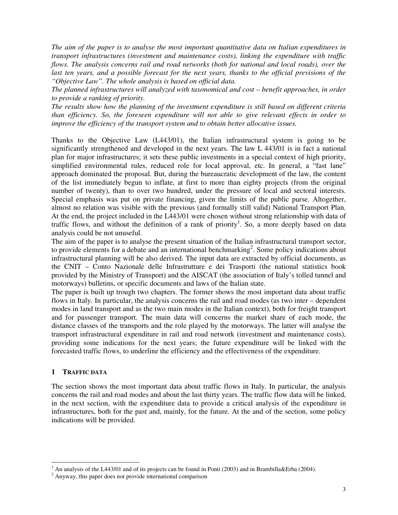*The aim of the paper is to analyse the most important quantitative data on Italian expenditures in transport infrastructures (investment and maintenance costs), linking the expenditure with traffic flows. The analysis concerns rail and road networks (both for national and local roads), over the*  last ten years, and a possible forecast for the next years, thanks to the official previsions of the *"Objective Law". The whole analysis is based on official data.* 

*The planned infrastructures will analyzed with taxonomical and cost – benefit approaches, in order to provide a ranking of priority.* 

*The results show how the planning of the investment expenditure is still based on different criteria than efficiency. So, the foreseen expenditure will not able to give relevant effects in order to improve the efficiency of the transport system and to obtain better allocative issues.* 

Thanks to the Objective Law (L443/01), the Italian infrastructural system is going to be significantly strengthened and developed in the next years. The law L 443/01 is in fact a national plan for major infrastructures; it sets these public investments in a special context of high priority, simplified environmental rules, reduced role for local approval, etc. In general, a "fast lane" approach dominated the proposal. But, during the bureaucratic development of the law, the content of the list immediately begun to inflate, at first to more than eighty projects (from the original number of twenty), than to over two hundred, under the pressure of local and sectoral interests. Special emphasis was put on private financing, given the limits of the public purse. Altogether, almost no relation was visible with the previous (and formally still valid) National Transport Plan. At the end, the project included in the L443/01 were chosen without strong relationship with data of traffic flows, and without the definition of a rank of priority<sup>1</sup>. So, a more deeply based on data analysis could be not unuseful.

The aim of the paper is to analyse the present situation of the Italian infrastructural transport sector, to provide elements for a debate and an international benchmarking<sup>2</sup>. Some policy indications about infrastructural planning will be also derived. The input data are extracted by official documents, as the CNIT – Conto Nazionale delle Infrastrutture e dei Trasporti (the national statistics book provided by the Ministry of Transport) and the AISCAT (the association of Italy's tolled tunnel and motorways) bulletins, or specific documents and laws of the Italian state.

The paper is built up trough two chapters. The former shows the most important data about traffic flows in Italy. In particular, the analysis concerns the rail and road modes (as two inter – dependent modes in land transport and as the two main modes in the Italian context), both for freight transport and for passenger transport. The main data will concerns the market share of each mode, the distance classes of the transports and the role played by the motorways. The latter will analyse the transport infrastructural expenditure in rail and road network (investment and maintenance costs), providing some indications for the next years; the future expenditure will be linked with the forecasted traffic flows, to underline the efficiency and the effectiveness of the expenditure.

#### **1 TRAFFIC DATA**

 $\overline{a}$ 

The section shows the most important data about traffic flows in Italy. In particular, the analysis concerns the rail and road modes and about the last thirty years. The traffic flow data will be linked, in the next section, with the expenditure data to provide a critical analysis of the expenditure in infrastructures, both for the past and, mainly, for the future. At the and of the section, some policy indications will be provided.

<sup>&</sup>lt;sup>1</sup> An analysis of the L443/01 and of its projects can be found in Ponti (2003) and in Brambilla&Erba (2004).

 $2$  Anyway, this paper does not provide international comparison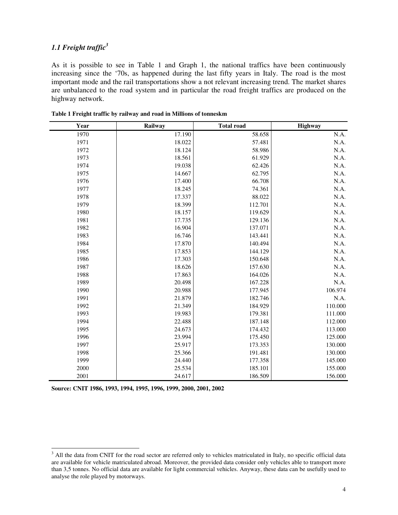## *1.1 Freight traffic<sup>3</sup>*

As it is possible to see in Table 1 and Graph 1, the national traffics have been continuously increasing since the '70s, as happened during the last fifty years in Italy. The road is the most important mode and the rail transportations show a not relevant increasing trend. The market shares are unbalanced to the road system and in particular the road freight traffics are produced on the highway network.

| Year | Railway | <b>Total road</b> | Highway |
|------|---------|-------------------|---------|
| 1970 | 17.190  | 58.658            | N.A.    |
| 1971 | 18.022  | 57.481            | N.A.    |
| 1972 | 18.124  | 58.986            | N.A.    |
| 1973 | 18.561  | 61.929            | N.A.    |
| 1974 | 19.038  | 62.426            | N.A.    |
| 1975 | 14.667  | 62.795            | N.A.    |
| 1976 | 17.400  | 66.708            | N.A.    |
| 1977 | 18.245  | 74.361            | N.A.    |
| 1978 | 17.337  | 88.022            | N.A.    |
| 1979 | 18.399  | 112.701           | N.A.    |
| 1980 | 18.157  | 119.629           | N.A.    |
| 1981 | 17.735  | 129.136           | N.A.    |
| 1982 | 16.904  | 137.071           | N.A.    |
| 1983 | 16.746  | 143.441           | N.A.    |
| 1984 | 17.870  | 140.494           | N.A.    |
| 1985 | 17.853  | 144.129           | N.A.    |
| 1986 | 17.303  | 150.648           | N.A.    |
| 1987 | 18.626  | 157.630           | N.A.    |
| 1988 | 17.863  | 164.026           | N.A.    |
| 1989 | 20.498  | 167.228           | N.A.    |
| 1990 | 20.988  | 177.945           | 106.974 |
| 1991 | 21.879  | 182.746           | N.A.    |
| 1992 | 21.349  | 184.929           | 110.000 |
| 1993 | 19.983  | 179.381           | 111.000 |
| 1994 | 22.488  | 187.148           | 112.000 |
| 1995 | 24.673  | 174.432           | 113.000 |
| 1996 | 23.994  | 175.450           | 125.000 |
| 1997 | 25.917  | 173.353           | 130.000 |
| 1998 | 25.366  | 191.481           | 130.000 |
| 1999 | 24.440  | 177.358           | 145.000 |
| 2000 | 25.534  | 185.101           | 155.000 |
| 2001 | 24.617  | 186.509           | 156.000 |

**Table 1 Freight traffic by railway and road in Millions of tonneskm** 

**Source: CNIT 1986, 1993, 1994, 1995, 1996, 1999, 2000, 2001, 2002** 

<sup>&</sup>lt;sup>3</sup> All the data from CNIT for the road sector are referred only to vehicles matriculated in Italy, no specific official data are available for vehicle matriculated abroad. Moreover, the provided data consider only vehicles able to transport more than 3,5 tonnes. No official data are available for light commercial vehicles. Anyway, these data can be usefully used to analyse the role played by motorways.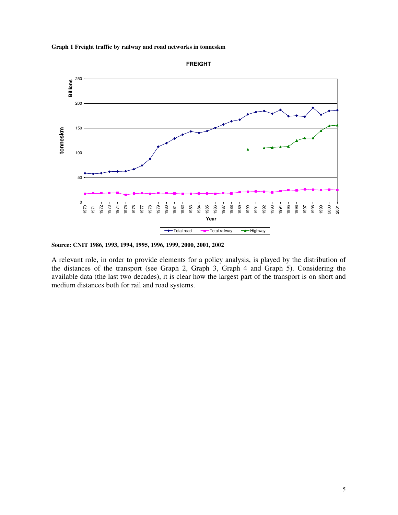



**Source: CNIT 1986, 1993, 1994, 1995, 1996, 1999, 2000, 2001, 2002** 

A relevant role, in order to provide elements for a policy analysis, is played by the distribution of the distances of the transport (see Graph 2, Graph 3, Graph 4 and Graph 5). Considering the available data (the last two decades), it is clear how the largest part of the transport is on short and medium distances both for rail and road systems.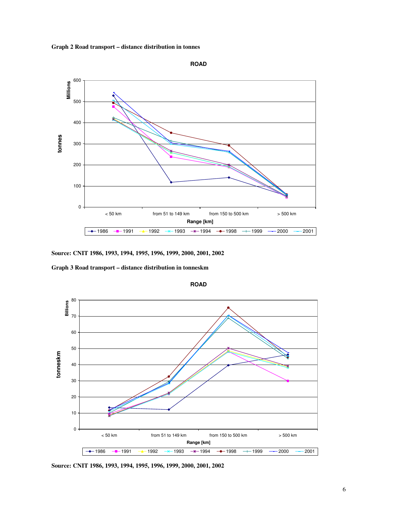



**Source: CNIT 1986, 1993, 1994, 1995, 1996, 1999, 2000, 2001, 2002** 

**Graph 3 Road transport – distance distribution in tonneskm** 



**ROAD**

**Source: CNIT 1986, 1993, 1994, 1995, 1996, 1999, 2000, 2001, 2002**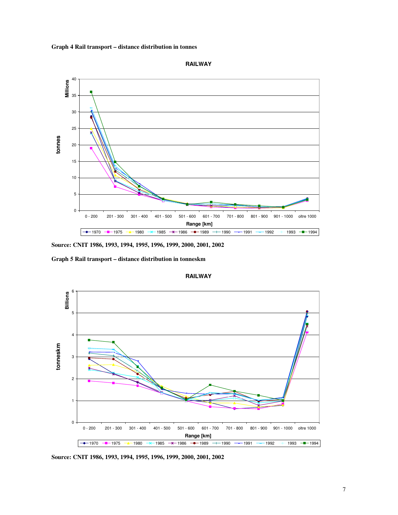**Graph 4 Rail transport – distance distribution in tonnes** 



**RAILWAY**

**Source: CNIT 1986, 1993, 1994, 1995, 1996, 1999, 2000, 2001, 2002** 

**Graph 5 Rail transport – distance distribution in tonneskm** 



**RAILWAY**

**Source: CNIT 1986, 1993, 1994, 1995, 1996, 1999, 2000, 2001, 2002**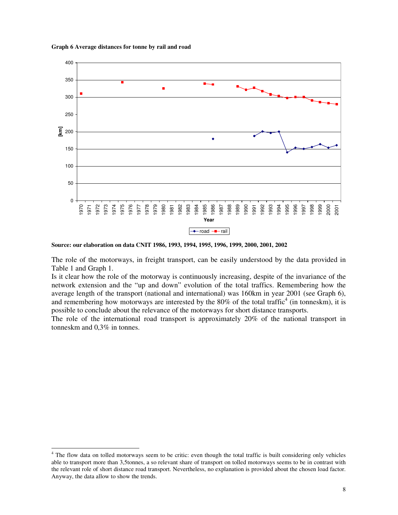



**Source: our elaboration on data CNIT 1986, 1993, 1994, 1995, 1996, 1999, 2000, 2001, 2002** 

The role of the motorways, in freight transport, can be easily understood by the data provided in Table 1 and Graph 1.

Is it clear how the role of the motorway is continuously increasing, despite of the invariance of the network extension and the "up and down" evolution of the total traffics. Remembering how the average length of the transport (national and international) was 160km in year 2001 (see Graph 6), and remembering how motorways are interested by the  $80\%$  of the total traffic<sup>4</sup> (in tonneskm), it is possible to conclude about the relevance of the motorways for short distance transports.

The role of the international road transport is approximately 20% of the national transport in tonneskm and 0,3% in tonnes.

<sup>&</sup>lt;sup>4</sup> The flow data on tolled motorways seem to be critic: even though the total traffic is built considering only vehicles able to transport more than 3,5tonnes, a so relevant share of transport on tolled motorways seems to be in contrast with the relevant role of short distance road transport. Nevertheless, no explanation is provided about the chosen load factor. Anyway, the data allow to show the trends.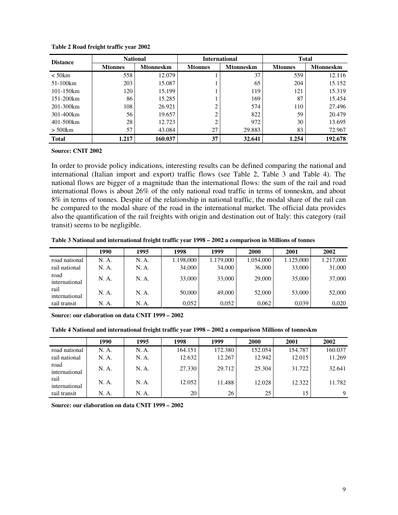| <b>Distance</b> | <b>National</b> |                  | <b>International</b> |                  | <b>Total</b>   |                  |  |
|-----------------|-----------------|------------------|----------------------|------------------|----------------|------------------|--|
|                 | <b>Mtonnes</b>  | <b>Mtonneskm</b> | <b>Mtonnes</b>       | <b>Mtonneskm</b> | <b>Mtonnes</b> | <b>Mtonneskm</b> |  |
| $<$ 50 $km$     | 558             | 12.079           |                      | 37               | 559            | 12.116           |  |
| 51-100km        | 203             | 15.087           |                      | 65               | 204            | 15.152           |  |
| 101-150km       | 120             | 15.199           |                      | 119              | 121            | 15.319           |  |
| $151 - 200$ km  | 86              | 15.285           |                      | 169              | 87             | 15.454           |  |
| 201-300km       | 108             | 26.921           | 2                    | 574              | 110            | 27.496           |  |
| 301-400km       | 56              | 19.657           | ↑                    | 822              | 59             | 20.479           |  |
| 401-500km       | 28              | 12.723           |                      | 972              | 30             | 13.695           |  |
| $>$ 500 $km$    | 57              | 43.084           | 27                   | 29.883           | 83             | 72.967           |  |
| <b>Total</b>    | 1.217           | 160.037          | 37                   | 32.641           | 1.254          | 192.678          |  |

**Table 2 Road freight traffic year 2002** 

**Source: CNIT 2002** 

In order to provide policy indications, interesting results can be defined comparing the national and international (Italian import and export) traffic flows (see Table 2, Table 3 and Table 4). The national flows are bigger of a magnitude than the international flows: the sum of the rail and road international flows is about 26% of the only national road traffic in terms of tonneskm, and about 8% in terms of tonnes. Despite of the relationship in national traffic, the modal share of the rail can be compared to the modal share of the road in the international market. The official data provides also the quantification of the rail freights with origin and destination out of Italy: this category (rail transit) seems to be negligible.

**Table 3 National and international freight traffic year 1998 – 2002 a comparison in Millions of tonnes**

|                       | 1990  | 1995  | 1998      | 1999      | 2000      | 2001      | 2002      |
|-----------------------|-------|-------|-----------|-----------|-----------|-----------|-----------|
| road national         | N. A. | N. A. | 1.198,000 | 1.179,000 | 1.054,000 | 1.125,000 | 1.217,000 |
| rail national         | N. A. | N. A. | 34,000    | 34,000    | 36,000    | 33,000    | 31,000    |
| road<br>international | N. A. | N. A. | 33,000    | 33,000    | 29,000    | 35,000    | 37,000    |
| rail<br>international | N. A. | N. A. | 50,000    | 49,000    | 52,000    | 53,000    | 52,000    |
| rail transit          | N. A. | N. A. | 0.052     | 0.052     | 0.062     | 0.039     | 0.020     |

**Source: our elaboration on data CNIT 1999 – 2002** 

**Table 4 National and international freight traffic year 1998 – 2002 a comparison Millions of tonneskm** 

|                       | 1990  | 1995  | 1998    | 1999    | 2000    | 2001    | 2002    |
|-----------------------|-------|-------|---------|---------|---------|---------|---------|
| road national         | N. A. | N. A. | 164.151 | 172.380 | 152.054 | 154.787 | 160.037 |
| rail national         | N. A. | N. A. | 12.632  | 12.267  | 12.942  | 12.015  | 11.269  |
| road<br>international | N. A. | N. A. | 27.330  | 29.712  | 25.304  | 31.722  | 32.641  |
| rail<br>international | N. A. | N. A. | 12.052  | 11.488  | 12.028  | 12.322  | 11.782  |
| rail transit          | N. A. | N. A. | 20      | 26      | 25      | 15      | 9       |

**Source: our elaboration on data CNIT 1999 – 2002**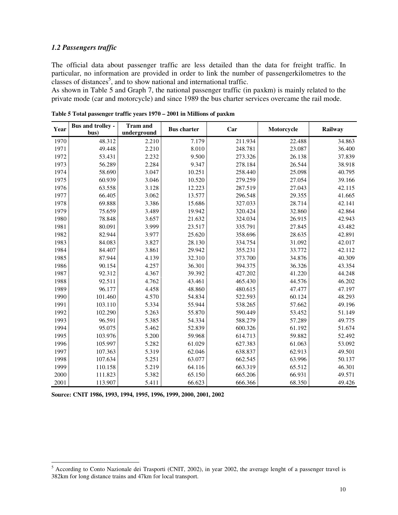## *1.2 Passengers traffic*

The official data about passenger traffic are less detailed than the data for freight traffic. In particular, no information are provided in order to link the number of passengerkilometres to the classes of distances<sup>5</sup>, and to show national and international traffic.

As shown in Table 5 and Graph 7, the national passenger traffic (in paxkm) is mainly related to the private mode (car and motorcycle) and since 1989 the bus charter services overcame the rail mode.

| Year | <b>Bus and trolley -</b><br>bus) | <b>Tram and</b><br>underground | <b>Bus</b> charter | Car     | Motorcycle | Railway |
|------|----------------------------------|--------------------------------|--------------------|---------|------------|---------|
| 1970 | 48.312                           | 2.210                          | 7.179              | 211.934 | 22.488     | 34.863  |
| 1971 | 49.448                           | 2.210                          | 8.010              | 248.781 | 23.087     | 36.400  |
| 1972 | 53.431                           | 2.232                          | 9.500              | 273.326 | 26.138     | 37.839  |
| 1973 | 56.289                           | 2.284                          | 9.347              | 278.184 | 26.544     | 38.918  |
| 1974 | 58.690                           | 3.047                          | 10.251             | 258.440 | 25.098     | 40.795  |
| 1975 | 60.939                           | 3.046                          | 10.520             | 279.259 | 27.054     | 39.166  |
| 1976 | 63.558                           | 3.128                          | 12.223             | 287.519 | 27.043     | 42.115  |
| 1977 | 66.405                           | 3.062                          | 13.577             | 296.548 | 29.355     | 41.665  |
| 1978 | 69.888                           | 3.386                          | 15.686             | 327.033 | 28.714     | 42.141  |
| 1979 | 75.659                           | 3.489                          | 19.942             | 320.424 | 32.860     | 42.864  |
| 1980 | 78.848                           | 3.657                          | 21.632             | 324.034 | 26.915     | 42.943  |
| 1981 | 80.091                           | 3.999                          | 23.517             | 335.791 | 27.845     | 43.482  |
| 1982 | 82.944                           | 3.977                          | 25.620             | 358.696 | 28.635     | 42.891  |
| 1983 | 84.083                           | 3.827                          | 28.130             | 334.754 | 31.092     | 42.017  |
| 1984 | 84.407                           | 3.861                          | 29.942             | 355.231 | 33.772     | 42.112  |
| 1985 | 87.944                           | 4.139                          | 32.310             | 373.700 | 34.876     | 40.309  |
| 1986 | 90.154                           | 4.257                          | 36.301             | 394.375 | 36.326     | 43.354  |
| 1987 | 92.312                           | 4.367                          | 39.392             | 427.202 | 41.220     | 44.248  |
| 1988 | 92.511                           | 4.762                          | 43.461             | 465.430 | 44.576     | 46.202  |
| 1989 | 96.177                           | 4.458                          | 48.860             | 480.615 | 47.477     | 47.197  |
| 1990 | 101.460                          | 4.570                          | 54.834             | 522.593 | 60.124     | 48.293  |
| 1991 | 103.110                          | 5.334                          | 55.944             | 538.265 | 57.662     | 49.196  |
| 1992 | 102.290                          | 5.263                          | 55.870             | 590.449 | 53.452     | 51.149  |
| 1993 | 96.591                           | 5.385                          | 54.334             | 588.279 | 57.289     | 49.775  |
| 1994 | 95.075                           | 5.462                          | 52.839             | 600.326 | 61.192     | 51.674  |
| 1995 | 103.976                          | 5.200                          | 59.968             | 614.713 | 59.882     | 52.492  |
| 1996 | 105.997                          | 5.282                          | 61.029             | 627.383 | 61.063     | 53.092  |
| 1997 | 107.363                          | 5.319                          | 62.046             | 638.837 | 62.913     | 49.501  |
| 1998 | 107.634                          | 5.251                          | 63.077             | 662.545 | 63.996     | 50.137  |
| 1999 | 110.158                          | 5.219                          | 64.116             | 663.319 | 65.512     | 46.301  |
| 2000 | 111.823                          | 5.382                          | 65.150             | 665.206 | 66.931     | 49.571  |
| 2001 | 113.907                          | 5.411                          | 66.623             | 666.366 | 68.350     | 49.426  |

**Table 5 Total passenger traffic years 1970 – 2001 in Millions of paxkm** 

**Source: CNIT 1986, 1993, 1994, 1995, 1996, 1999, 2000, 2001, 2002** 

<sup>&</sup>lt;sup>5</sup> According to Conto Nazionale dei Trasporti (CNIT, 2002), in year 2002, the average lenght of a passenger travel is 382km for long distance trains and 47km for local transport.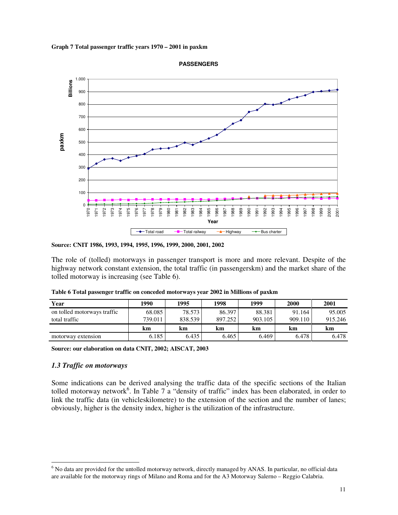





The role of (tolled) motorways in passenger transport is more and more relevant. Despite of the highway network constant extension, the total traffic (in passengerskm) and the market share of the tolled motorway is increasing (see Table 6).

| Year                        | 1990    | 1995    | 1998    | 1999    | 2000    | 2001    |
|-----------------------------|---------|---------|---------|---------|---------|---------|
| on tolled motorways traffic | 68.085  | 78.573  | 86.397  | 88.381  | 91.164  | 95.005  |
| total traffic               | 739.011 | 838.539 | 897.252 | 903.105 | 909.110 | 915.246 |
|                             | km      | km      | km      | km      | km      | km      |
| motorway extension          | 6.185   | 6.435   | 6.465   | 6.469   | 6.478   | 6.478   |

**Table 6 Total passenger traffic on conceded motorways year 2002 in Millions of paxkm** 

**Source: our elaboration on data CNIT, 2002; AISCAT, 2003** 

## *1.3 Traffic on motorways*

 $\overline{a}$ 

Some indications can be derived analysing the traffic data of the specific sections of the Italian tolled motorway network<sup>6</sup>. In Table 7 a "density of traffic" index has been elaborated, in order to link the traffic data (in vehicleskilometre) to the extension of the section and the number of lanes; obviously, higher is the density index, higher is the utilization of the infrastructure.

**Source: CNIT 1986, 1993, 1994, 1995, 1996, 1999, 2000, 2001, 2002** 

<sup>&</sup>lt;sup>6</sup> No data are provided for the untolled motorway network, directly managed by ANAS. In particular, no official data are available for the motorway rings of Milano and Roma and for the A3 Motorway Salerno – Reggio Calabria.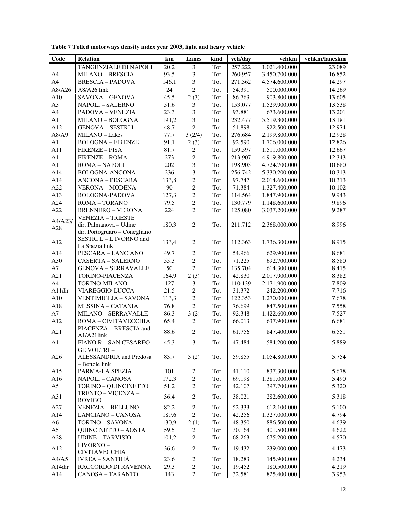| A4             | <b>MILANO - BRESCIA</b>             | 93,5  | 3                | Tot | 260.957 | 3.450.700.000 | 16.852 |
|----------------|-------------------------------------|-------|------------------|-----|---------|---------------|--------|
| A4             | <b>BRESCIA - PADOVA</b>             | 146,1 | 3                | Tot | 271.362 | 4.574.600.000 | 14.297 |
| A8/A26         | A8/A26 link                         | 24    | $\overline{2}$   | Tot | 54.391  | 500.000.000   | 14.269 |
| A10            | SAVONA - GENOVA                     | 45,5  | 2(3)             | Tot | 86.763  | 903.800.000   | 13.605 |
| A <sub>3</sub> | <b>NAPOLI - SALERNO</b>             | 51,6  | 3                | Tot | 153.077 | 1.529.900.000 | 13.538 |
| A4             | PADOVA - VENEZIA                    | 23,3  | 3                | Tot | 93.881  | 673.600.000   | 13.201 |
| A1             | MILANO - BOLOGNA                    | 191,2 | $\mathfrak{Z}$   | Tot | 232.477 | 5.519.300.000 | 13.181 |
| A12            | <b>GENOVA - SESTRI L</b>            | 48,7  | $\overline{2}$   | Tot | 51.898  | 922.500.000   | 12.974 |
| A8/A9          | MILANO - Lakes                      | 77,7  | 3(2/4)           | Tot | 276.684 | 2.199.800.000 | 12.928 |
| A1             | <b>BOLOGNA - FIRENZE</b>            | 91,1  | 2(3)             | Tot | 92.590  | 1.706.000.000 | 12.826 |
| A11            | <b>FIRENZE - PISA</b>               | 81,7  | 2                | Tot | 159.597 | 1.511.000.000 | 12.667 |
| A1             | <b>FIRENZE - ROMA</b>               | 273   | $\sqrt{2}$       | Tot | 213.907 | 4.919.800.000 | 12.343 |
| A <sub>1</sub> | ROMA – NAPOLI                       | 202   | $\overline{3}$   | Tot | 198.905 | 4.724.700.000 | 10.680 |
| A14            | <b>BOLOGNA-ANCONA</b>               | 236   | $\mathfrak{Z}$   | Tot | 256.742 | 5.330.200.000 | 10.313 |
| A14            | <b>ANCONA - PESCARA</b>             | 133,8 | $\overline{2}$   | Tot | 97.747  | 2.014.600.000 | 10.313 |
| A22            | <b>VERONA - MODENA</b>              | 90    | $\boldsymbol{2}$ | Tot | 71.384  | 1.327.400.000 | 10.102 |
| A13            | <b>BOLOGNA-PADOVA</b>               | 127,3 | $\sqrt{2}$       | Tot | 114.564 | 1.847.900.000 | 9.943  |
| A24            | ROMA - TORANO                       | 79,5  | $\overline{2}$   | Tot | 130.779 | 1.148.600.000 | 9.896  |
| A22            | <b>BRENNERO - VERONA</b>            | 224   | 2                | Tot | 125.080 | 3.037.200.000 | 9.287  |
| A4/A23/        | <b>VENEZIA - TRIESTE</b>            |       |                  |     |         |               |        |
| A28            | dir. Palmanova - Udine              | 180,3 | $\overline{2}$   | Tot | 211.712 | 2.368.000.000 | 8.996  |
|                | dir. Portogruaro - Conegliano       |       |                  |     |         |               |        |
| A12            | SESTRI L-L IVORNO and               | 133,4 | $\mathbf{2}$     | Tot | 112.363 | 1.736.300.000 | 8.915  |
|                | La Spezia link                      |       |                  |     |         |               |        |
| A14            | PESCARA - LANCIANO                  | 49,7  | $\mathbf{2}$     | Tot | 54.966  | 629.900.000   | 8.681  |
| A30            | CASERTA – SALERNO                   | 55,3  | $\sqrt{2}$       | Tot | 71.225  | 692.700.000   | 8.580  |
| A7             | <b>GENOVA - SERRAVALLE</b>          | 50    | $\overline{2}$   | Tot | 135.704 | 614.300.000   | 8.415  |
| A21            | TORINO-PIACENZA                     | 164,9 | 2(3)             | Tot | 42.830  | 2.017.900.000 | 8.382  |
| A <sub>4</sub> | TORINO-MILANO                       | 127   | 3                | Tot | 110.139 | 2.171.900.000 | 7.809  |
| A11dir         | VIAREGGIO-LUCCA                     | 21,5  | $\sqrt{2}$       | Tot | 31.372  | 242.200.000   | 7.716  |
| A10            | <b>VENTIMIGLIA – SAVONA</b>         | 113,3 | 2                | Tot | 122.353 | 1.270.000.000 | 7.678  |
| A18            | <b>MESSINA - CATANIA</b>            | 76,8  | $\overline{2}$   | Tot | 76.699  | 847.500.000   | 7.558  |
| A7             | MILANO - SERRAVALLE                 | 86,3  | 3(2)             | Tot | 92.348  | 1.422.600.000 | 7.527  |
| A12            | ROMA - CIVITAVECCHIA                | 65,4  | 2                | Tot | 66.013  | 637.900.000   | 6.681  |
| A21            | PIACENZA - BRESCIA and              | 88,6  | 2                | Tot | 61.756  | 847.400.000   | 6.551  |
| $\mathbf{A}1$  | A1/A21link<br>FIANO R - SAN CESAREO | 45,3  | 3                | Tot | 47.484  | 584.200.000   | 5.889  |
|                | <b>GE VOLTRI-</b>                   |       |                  |     |         |               |        |
| A26            | ALESSANDRIA and Predosa             | 83,7  | 3(2)             | Tot | 59.855  | 1.054.800.000 | 5.754  |
|                | - Bettole link                      |       |                  |     |         |               |        |
| A15            | PARMA-LA SPEZIA                     | 101   | 2                | Tot | 41.110  | 837.300.000   | 5.678  |
| A16            | NAPOLI - CANOSA                     | 172,3 | $\overline{2}$   | Tot | 69.198  | 1.381.000.000 | 5.490  |
| A <sub>5</sub> | TORINO - QUINCINETTO                | 51,2  | $\overline{2}$   | Tot | 42.107  | 397.700.000   | 5.320  |
|                | TRENTO - VICENZA -                  |       |                  |     |         |               |        |
| A31            | <b>ROVIGO</b>                       | 36,4  | $\mathbf{2}$     | Tot | 38.021  | 282.600.000   | 5.318  |
| A27            | VENEZIA - BELLUNO                   | 82,2  | $\overline{c}$   | Tot | 52.333  | 612.100.000   | 5.100  |

A14 | LANCIANO – CANOSA | 189,6 | 2 | Tot | 42.256 | 1.327.000.000 | 4.794 A6 | TORINO – SAVONA | 130,9 | 2 (1) | Tot | 48.350 | 886.500.000 | 4.639 A5 QUINCINETTO – AOSTA 59,5 2 Tot 30.164 401.500.000 4.622 A28 | UDINE – TARVISIO | 101,2 | 2 | Tot | 68.263 | 675.200.000 | 4.570

A4/A5 | IVREA – SANTHIÀ | 23,6 | 2 | Tot | 18.283 | 145.900.000 | 4.234 A14dir RACCORDO DI RAVENNA 29,3 2 Tot 19.452 180.500.000 4.219 A14 | CANOSA – TARANTO | 143 | 2 | Tot | 32.581 | 825.400.000 | 3.953

CIVITAVECCHIA 36,6 2 Tot 19.432 239.000.000 4.473<br>IVREA – SANTHIÀ 23,6 2 Tot 18.283 145.900.000 4.234

 $A12$  LIVORNO –

**Code Relation km Lanes kind veh/day vehkm vehkm/laneskm** 

TANGENZIALE DI NAPOLI 20,2 3 Tot 257.222 1.021.400.000 23.089

**Table 7 Tolled motorways density index year 2003, light and heavy vehicle**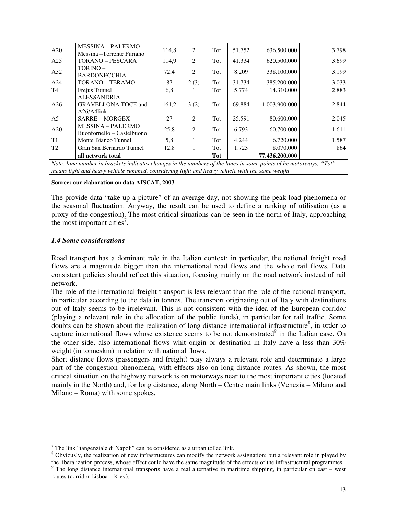|                | all network total                                      |       |      | Tot |        | 77.436.200.000 |       |
|----------------|--------------------------------------------------------|-------|------|-----|--------|----------------|-------|
| T <sub>2</sub> | Gran San Bernardo Tunnel                               | 12,8  | 1    | Tot | 1.723  | 8.070.000      | 864   |
| T1             | Monte Bianco Tunnel                                    | 5,8   | 1    | Tot | 4.244  | 6.720.000      | 1.587 |
| A20            | Buonfornello – Castelbuono                             | 25,8  | 2    | Tot | 6.793  | 60.700.000     | 1.611 |
| A <sub>5</sub> | <b>SARRE – MORGEX</b><br><b>MESSINA – PALERMO</b>      | 27    | 2    | Tot | 25.591 | 80.600.000     | 2.045 |
|                | $A26/A4$ link                                          |       |      |     |        |                |       |
| A26            | ALESSANDRIA -<br><b>GRAVELLONA TOCE and</b>            | 161,2 | 3(2) | Tot | 69.884 | 1.003.900.000  | 2.844 |
| T4             | Frejus Tunnel                                          | 6,8   | Ι.   | Tot | 5.774  | 14.310.000     | 2.883 |
| A24            | TORANO - TERAMO                                        | 87    | 2(3) | Tot | 31.734 | 385.200.000    | 3.033 |
| A32            | $TORINO -$<br><b>BARDONECCHIA</b>                      | 72,4  | 2    | Tot | 8.209  | 338.100.000    | 3.199 |
| A25            | TORANO – PESCARA                                       | 114.9 | 2    | Tot | 41.334 | 620.500.000    | 3.699 |
| A20            | <b>MESSINA – PALERMO</b><br>Messina – Torrente Furiano | 114,8 | 2    | Tot | 51.752 | 636.500.000    | 3.798 |

*Note: lane number in brackets indicates changes in the numbers of the lanes in some points of he motorways; "Tot" means light and heavy vehicle summed, considering light and heavy vehicle with the same weight* 

#### **Source: our elaboration on data AISCAT, 2003**

The provide data "take up a picture" of an average day, not showing the peak load phenomena or the seasonal fluctuation. Anyway, the result can be used to define a ranking of utilisation (as a proxy of the congestion). The most critical situations can be seen in the north of Italy, approaching the most important cities<sup>7</sup>.

#### *1.4 Some considerations*

 $\overline{a}$ 

Road transport has a dominant role in the Italian context; in particular, the national freight road flows are a magnitude bigger than the international road flows and the whole rail flows. Data consistent policies should reflect this situation, focusing mainly on the road network instead of rail network.

The role of the international freight transport is less relevant than the role of the national transport, in particular according to the data in tonnes. The transport originating out of Italy with destinations out of Italy seems to be irrelevant. This is not consistent with the idea of the European corridor (playing a relevant role in the allocation of the public funds), in particular for rail traffic. Some doubts can be shown about the realization of long distance international infrastructure<sup>8</sup>, in order to capture international flows whose existence seems to be not demonstrated $9$  in the Italian case. On the other side, also international flows whit origin or destination in Italy have a less than 30% weight (in tonneskm) in relation with national flows.

Short distance flows (passengers and freight) play always a relevant role and determinate a large part of the congestion phenomena, with effects also on long distance routes. As shown, the most critical situation on the highway network is on motorways near to the most important cities (located mainly in the North) and, for long distance, along North – Centre main links (Venezia – Milano and Milano – Roma) with some spokes.

<sup>8</sup> Obviously, the realization of new infrastructures can modify the network assignation; but a relevant role in played by the liberalization process, whose effect could have the same magnitude of the effects of the infrastructural programmes.

 $7$  The link "tangenziale di Napoli" can be considered as a urban tolled link.

<sup>&</sup>lt;sup>9</sup> The long distance international transports have a real alternative in maritime shipping, in particular on east – west routes (corridor Lisboa – Kiev).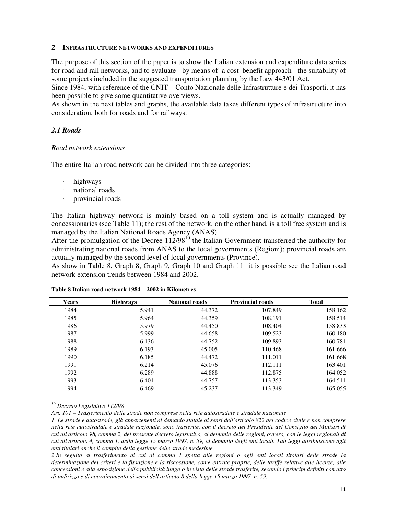## **2 INFRASTRUCTURE NETWORKS AND EXPENDITURES**

The purpose of this section of the paper is to show the Italian extension and expenditure data series for road and rail networks, and to evaluate - by means of a cost–benefit approach - the suitability of some projects included in the suggested transportation planning by the Law 443/01 Act.

Since 1984, with reference of the CNIT – Conto Nazionale delle Infrastrutture e dei Trasporti, it has been possible to give some quantitative overviews.

As shown in the next tables and graphs, the available data takes different types of infrastructure into consideration, both for roads and for railways.

## *2.1 Roads*

## *Road network extensions*

The entire Italian road network can be divided into three categories:

- highways
- national roads
- provincial roads

The Italian highway network is mainly based on a toll system and is actually managed by concessionaries (see Table 11); the rest of the network, on the other hand, is a toll free system and is managed by the Italian National Roads Agency (ANAS).

After the promulgation of the Decree  $112/98^{10}$  the Italian Government transferred the authority for administrating national roads from ANAS to the local governments (Regioni); provincial roads are actually managed by the second level of local governments (Province).

As show in Table 8, Graph 8, Graph 9, Graph 10 and Graph 11 it is possible see the Italian road network extension trends between 1984 and 2002.

| Years | <b>Highways</b> | <b>National roads</b> | <b>Provincial roads</b> | <b>Total</b> |
|-------|-----------------|-----------------------|-------------------------|--------------|
| 1984  | 5.941           | 44.372                | 107.849                 | 158.162      |
| 1985  | 5.964           | 44.359                | 108.191                 | 158.514      |
| 1986  | 5.979           | 44.450                | 108.404                 | 158.833      |
| 1987  | 5.999           | 44.658                | 109.523                 | 160.180      |
| 1988  | 6.136           | 44.752                | 109.893                 | 160.781      |
| 1989  | 6.193           | 45.005                | 110.468                 | 161.666      |
| 1990  | 6.185           | 44.472                | 111.011                 | 161.668      |
| 1991  | 6.214           | 45.076                | 112.111                 | 163.401      |
| 1992  | 6.289           | 44.888                | 112.875                 | 164.052      |
| 1993  | 6.401           | 44.757                | 113.353                 | 164.511      |
| 1994  | 6.469           | 45.237                | 113.349                 | 165.055      |

## **Table 8 Italian road network 1984 – 2002 in Kilometres**

*<sup>10</sup> Decreto Legislativo 112/98* 

 $\overline{a}$ 

*Art. 101 – Trasferimento delle strade non comprese nella rete autostradale e stradale nazionale* 

*1. Le strade e autostrade, già appartenenti al demanio statale ai sensi dell'articolo 822 del codice civile e non comprese nella rete autostradale e stradale nazionale, sono trasferite, con il decreto del Presidente del Consiglio dei Ministri di cui all'articolo 98, comma 2, del presente decreto legislativo, al demanio delle regioni, ovvero, con le leggi regionali di cui all'articolo 4, comma 1, della legge 15 marzo 1997, n. 59, al demanio degli enti locali. Tali leggi attribuiscono agli enti titolari anche il compito della gestione delle strade medesime.* 

*2.In seguito al trasferimento di cui al comma 1 spetta alle regioni o agli enti locali titolari delle strade la determinazione dei criteri e la fissazione e la riscossione, come entrate proprie, delle tariffe relative alle licenze, alle concessioni e alla esposizione della pubblicità lungo o in vista delle strade trasferite, secondo i principi definiti con atto di indirizzo e di coordinamento ai sensi dell'articolo 8 della legge 15 marzo 1997, n. 59.*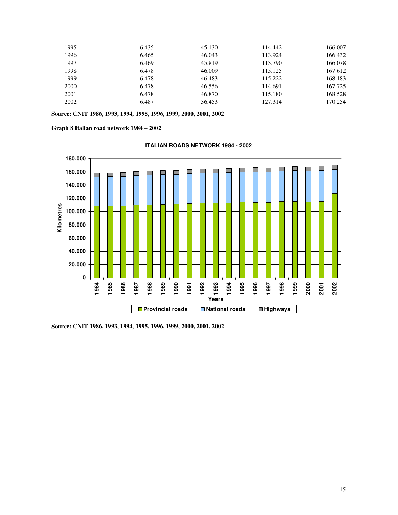| 1995 | 6.435 | 45.130 | 114.442 | 166.007 |
|------|-------|--------|---------|---------|
| 1996 | 6.465 | 46.043 | 113.924 | 166.432 |
| 1997 | 6.469 | 45.819 | 113.790 | 166.078 |
| 1998 | 6.478 | 46.009 | 115.125 | 167.612 |
| 1999 | 6.478 | 46.483 | 115.222 | 168.183 |
| 2000 | 6.478 | 46.556 | 114.691 | 167.725 |
| 2001 | 6.478 | 46.870 | 115.180 | 168.528 |
| 2002 | 6.487 | 36.453 | 127.314 | 170.254 |

**Source: CNIT 1986, 1993, 1994, 1995, 1996, 1999, 2000, 2001, 2002** 

**Graph 8 Italian road network 1984 – 2002** 



**ITALIAN ROADS NETWORK 1984 - 2002**

**Source: CNIT 1986, 1993, 1994, 1995, 1996, 1999, 2000, 2001, 2002**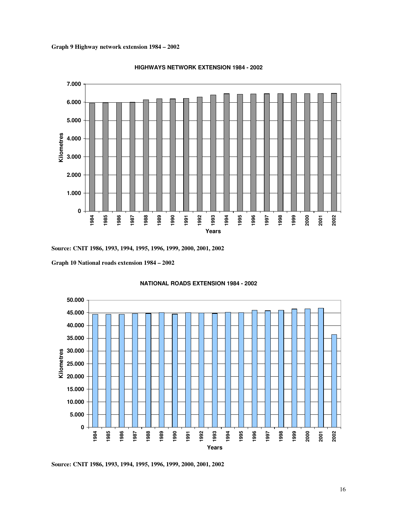**Graph 9 Highway network extension 1984 – 2002** 



#### **HIGHWAYS NETWORK EXTENSION 1984 - 2002**

**Source: CNIT 1986, 1993, 1994, 1995, 1996, 1999, 2000, 2001, 2002** 

**Graph 10 National roads extension 1984 – 2002** 



#### **NATIONAL ROADS EXTENSION 1984 - 2002**

**Source: CNIT 1986, 1993, 1994, 1995, 1996, 1999, 2000, 2001, 2002**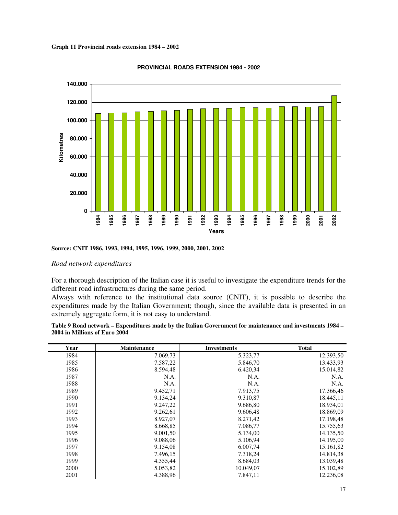**Graph 11 Provincial roads extension 1984 – 2002** 



#### **PROVINCIAL ROADS EXTENSION 1984 - 2002**

#### *Road network expenditures*

For a thorough description of the Italian case it is useful to investigate the expenditure trends for the different road infrastructures during the same period.

Always with reference to the institutional data source (CNIT), it is possible to describe the expenditures made by the Italian Government; though, since the available data is presented in an extremely aggregate form, it is not easy to understand.

| Table 9 Road network – Expenditures made by the Italian Government for maintenance and investments 1984 – |  |
|-----------------------------------------------------------------------------------------------------------|--|
| 2004 in Millions of Euro 2004                                                                             |  |

| Year | Maintenance | <b>Investments</b> | <b>Total</b> |
|------|-------------|--------------------|--------------|
| 1984 | 7.069,73    | 5.323,77           | 12.393,50    |
| 1985 | 7.587,22    | 5.846,70           | 13.433,93    |
| 1986 | 8.594,48    | 6.420,34           | 15.014,82    |
| 1987 | N.A.        | N.A.               | N.A.         |
| 1988 | N.A.        | N.A.               | N.A.         |
| 1989 | 9.452,71    | 7.913,75           | 17.366,46    |
| 1990 | 9.134,24    | 9.310,87           | 18.445,11    |
| 1991 | 9.247,22    | 9.686,80           | 18.934,01    |
| 1992 | 9.262,61    | 9.606,48           | 18.869,09    |
| 1993 | 8.927,07    | 8.271,42           | 17.198,48    |
| 1994 | 8.668,85    | 7.086,77           | 15.755,63    |
| 1995 | 9.001,50    | 5.134,00           | 14.135,50    |
| 1996 | 9.088,06    | 5.106,94           | 14.195,00    |
| 1997 | 9.154,08    | 6.007,74           | 15.161,82    |
| 1998 | 7.496,15    | 7.318,24           | 14.814,38    |
| 1999 | 4.355,44    | 8.684,03           | 13.039,48    |
| 2000 | 5.053,82    | 10.049,07          | 15.102,89    |
| 2001 | 4.388,96    | 7.847,11           | 12.236,08    |

**Source: CNIT 1986, 1993, 1994, 1995, 1996, 1999, 2000, 2001, 2002**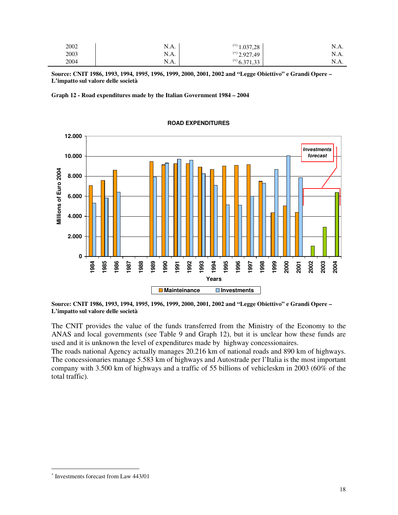| 2002 | N.A. | (*) 1<br>1.037,28 | N.A. |
|------|------|-------------------|------|
| 2003 | N.A. | $^{(*)}$ 2.927,49 | N.A. |
| 2004 | N.A. | $^{(*)}$ 6.371,3. | N.A. |

**Source: CNIT 1986, 1993, 1994, 1995, 1996, 1999, 2000, 2001, 2002 and "Legge Obiettivo" e Grandi Opere – L'impatto sul valore delle società** 

**Graph 12 - Road expenditures made by the Italian Government 1984 – 2004** 



#### **ROAD EXPENDITURES**

**Source: CNIT 1986, 1993, 1994, 1995, 1996, 1999, 2000, 2001, 2002 and "Legge Obiettivo" e Grandi Opere – L'impatto sul valore delle società** 

The CNIT provides the value of the funds transferred from the Ministry of the Economy to the ANAS and local governments (see Table 9 and Graph 12), but it is unclear how these funds are used and it is unknown the level of expenditures made by highway concessionaires.

The roads national Agency actually manages 20.216 km of national roads and 890 km of highways. The concessionaries manage 5.583 km of highways and Autostrade per l'Italia is the most important company with 3.500 km of highways and a traffic of 55 billions of vehicleskm in 2003 (60% of the total traffic).

 $\overline{\phantom{a}}$ 

<sup>∗</sup> Investments forecast from Law 443/01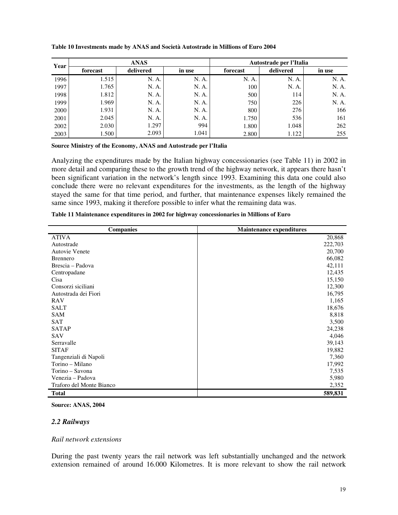| Year | <b>ANAS</b> |           |        | Autostrade per l'Italia |           |        |
|------|-------------|-----------|--------|-------------------------|-----------|--------|
|      | forecast    | delivered | in use | forecast                | delivered | in use |
| 1996 | 1.515       | N. A.     | N. A.  | N. A.                   | N. A.     | N. A.  |
| 1997 | 1.765       | N. A.     | N. A.  | 100                     | N. A.     | N. A.  |
| 1998 | 1.812       | N. A.     | N. A.  | 500                     | 114       | N. A.  |
| 1999 | 1.969       | N. A.     | N. A.  | 750                     | 226       | N. A.  |
| 2000 | 1.931       | N. A.     | N. A.  | 800                     | 276       | 166    |
| 2001 | 2.045       | N. A.     | N. A.  | 1.750                   | 536       | 161    |
| 2002 | 2.030       | 1.297     | 994    | 1.800                   | 1.048     | 262    |
| 2003 | 1.500       | 2.093     | 1.041  | 2.800                   | 1.122     | 255    |

#### **Table 10 Investments made by ANAS and Società Autostrade in Millions of Euro 2004**

#### **Source Ministry of the Economy, ANAS and Autostrade per l'Italia**

Analyzing the expenditures made by the Italian highway concessionaries (see Table 11) in 2002 in more detail and comparing these to the growth trend of the highway network, it appears there hasn't been significant variation in the network's length since 1993. Examining this data one could also conclude there were no relevant expenditures for the investments, as the length of the highway stayed the same for that time period, and further, that maintenance expenses likely remained the same since 1993, making it therefore possible to infer what the remaining data was.

| <b>Companies</b>         | <b>Maintenance expenditures</b> |
|--------------------------|---------------------------------|
| <b>ATIVA</b>             | 20,868                          |
| Autostrade               | 222,703                         |
| <b>Autovie Venete</b>    | 20,700                          |
| <b>Brennero</b>          | 66,082                          |
| Brescia – Padova         | 42,111                          |
| Centropadane             | 12,435                          |
| Cisa                     | 15,150                          |
| Consorzi siciliani       | 12,300                          |
| Autostrada dei Fiori     | 16,795                          |
| <b>RAV</b>               | 1,165                           |
| <b>SALT</b>              | 18,676                          |
| <b>SAM</b>               | 8,818                           |
| <b>SAT</b>               | 3,500                           |
| <b>SATAP</b>             | 24,238                          |
| <b>SAV</b>               | 4,046                           |
| Serravalle               | 39,143                          |
| <b>SITAF</b>             | 19,882                          |
| Tangenziali di Napoli    | 7,360                           |
| Torino - Milano          | 17,992                          |
| Torino – Savona          | 7,535                           |
| Venezia – Padova         | 5,980                           |
| Traforo del Monte Bianco | 2,352                           |
| <b>Total</b>             | 589,831                         |

| Table 11 Maintenance expenditures in 2002 for highway concessionaries in Millions of Euro |  |  |
|-------------------------------------------------------------------------------------------|--|--|
|-------------------------------------------------------------------------------------------|--|--|

#### **Source: ANAS, 2004**

#### *2.2 Railways*

#### *Rail network extensions*

During the past twenty years the rail network was left substantially unchanged and the network extension remained of around 16.000 Kilometres. It is more relevant to show the rail network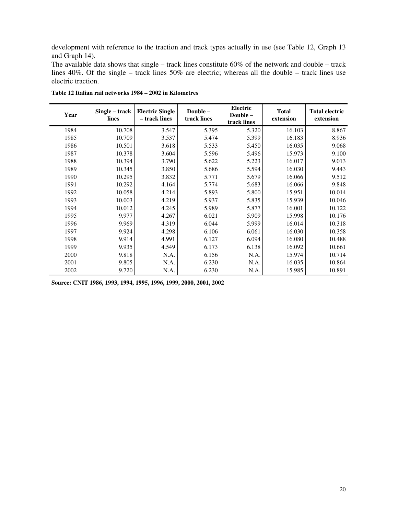development with reference to the traction and track types actually in use (see Table 12, Graph 13 and Graph 14).

The available data shows that single – track lines constitute 60% of the network and double – track lines 40%. Of the single – track lines 50% are electric; whereas all the double – track lines use electric traction.

| Year | Single – track<br>lines | <b>Electric Single</b><br>- track lines | Double-<br>track lines | <b>Electric</b><br>Double-<br>track lines | <b>Total</b><br>extension | <b>Total electric</b><br>extension |
|------|-------------------------|-----------------------------------------|------------------------|-------------------------------------------|---------------------------|------------------------------------|
| 1984 | 10.708                  | 3.547                                   | 5.395                  | 5.320                                     | 16.103                    | 8.867                              |
| 1985 | 10.709                  | 3.537                                   | 5.474                  | 5.399                                     | 16.183                    | 8.936                              |
| 1986 | 10.501                  | 3.618                                   | 5.533                  | 5.450                                     | 16.035                    | 9.068                              |
| 1987 | 10.378                  | 3.604                                   | 5.596                  | 5.496                                     | 15.973                    | 9.100                              |
| 1988 | 10.394                  | 3.790                                   | 5.622                  | 5.223                                     | 16.017                    | 9.013                              |
| 1989 | 10.345                  | 3.850                                   | 5.686                  | 5.594                                     | 16.030                    | 9.443                              |
| 1990 | 10.295                  | 3.832                                   | 5.771                  | 5.679                                     | 16.066                    | 9.512                              |
| 1991 | 10.292                  | 4.164                                   | 5.774                  | 5.683                                     | 16.066                    | 9.848                              |
| 1992 | 10.058                  | 4.214                                   | 5.893                  | 5.800                                     | 15.951                    | 10.014                             |
| 1993 | 10.003                  | 4.219                                   | 5.937                  | 5.835                                     | 15.939                    | 10.046                             |
| 1994 | 10.012                  | 4.245                                   | 5.989                  | 5.877                                     | 16.001                    | 10.122                             |
| 1995 | 9.977                   | 4.267                                   | 6.021                  | 5.909                                     | 15.998                    | 10.176                             |
| 1996 | 9.969                   | 4.319                                   | 6.044                  | 5.999                                     | 16.014                    | 10.318                             |
| 1997 | 9.924                   | 4.298                                   | 6.106                  | 6.061                                     | 16.030                    | 10.358                             |
| 1998 | 9.914                   | 4.991                                   | 6.127                  | 6.094                                     | 16.080                    | 10.488                             |
| 1999 | 9.935                   | 4.549                                   | 6.173                  | 6.138                                     | 16.092                    | 10.661                             |
| 2000 | 9.818                   | N.A.                                    | 6.156                  | N.A.                                      | 15.974                    | 10.714                             |
| 2001 | 9.805                   | N.A.                                    | 6.230                  | N.A.                                      | 16.035                    | 10.864                             |
| 2002 | 9.720                   | N.A.                                    | 6.230                  | N.A.                                      | 15.985                    | 10.891                             |

**Table 12 Italian rail networks 1984 – 2002 in Kilometres** 

**Source: CNIT 1986, 1993, 1994, 1995, 1996, 1999, 2000, 2001, 2002**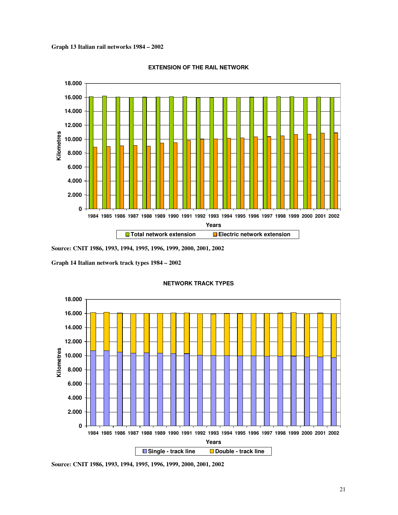**Graph 13 Italian rail networks 1984 – 2002** 



**EXTENSION OF THE RAIL NETWORK**

**Source: CNIT 1986, 1993, 1994, 1995, 1996, 1999, 2000, 2001, 2002** 

**Graph 14 Italian network track types 1984 – 2002** 



**NETWORK TRACK TYPES**

**Source: CNIT 1986, 1993, 1994, 1995, 1996, 1999, 2000, 2001, 2002**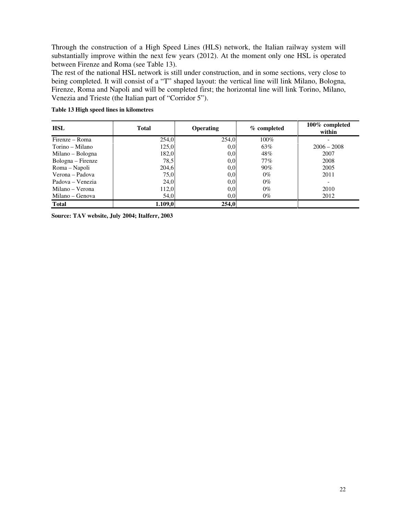Through the construction of a High Speed Lines (HLS) network, the Italian railway system will substantially improve within the next few years (2012). At the moment only one HSL is operated between Firenze and Roma (see Table 13).

The rest of the national HSL network is still under construction, and in some sections, very close to being completed. It will consist of a "T" shaped layout: the vertical line will link Milano, Bologna, Firenze, Roma and Napoli and will be completed first; the horizontal line will link Torino, Milano, Venezia and Trieste (the Italian part of "Corridor 5").

| <b>HSL</b>        | <b>Total</b> | <b>Operating</b> | % completed | 100% completed<br>within |
|-------------------|--------------|------------------|-------------|--------------------------|
| Firenze – Roma    | 254,0        | 254,0            | 100%        |                          |
| Torino – Milano   | 125,0        | 0.0              | 63%         | $2006 - 2008$            |
| Milano – Bologna  | 182,0        | 0.0              | 48%         | 2007                     |
| Bologna – Firenze | 78.5         | 0.0              | $77\%$      | 2008                     |
| Roma – Napoli     | 204,6        | 0,0              | $90\%$      | 2005                     |
| Verona – Padova   | 75,0         | 0.0              | $0\%$       | 2011                     |
| Padova – Venezia  | 24,0         | 0.0              | $0\%$       |                          |
| Milano – Verona   | 112,0        | 0,0              | $0\%$       | 2010                     |
| Milano – Genova   | 54,0         | 0,0              | $0\%$       | 2012                     |
| <b>Total</b>      | 1.109,0      | 254,0            |             |                          |

#### **Table 13 High speed lines in kilometres**

**Source: TAV website, July 2004; Italferr, 2003**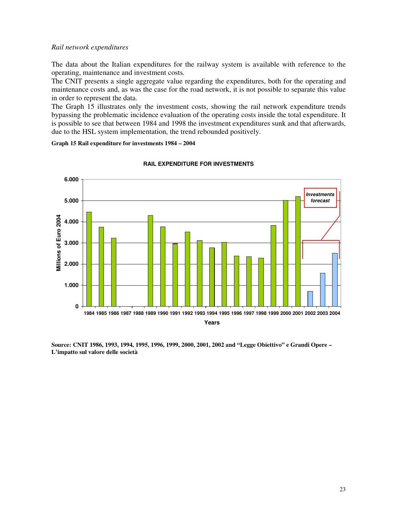## *Rail network expenditures*

The data about the Italian expenditures for the railway system is available with reference to the operating, maintenance and investment costs.

The CNIT presents a single aggregate value regarding the expenditures, both for the operating and maintenance costs and, as was the case for the road network, it is not possible to separate this value in order to represent the data.

The Graph 15 illustrates only the investment costs, showing the rail network expenditure trends bypassing the problematic incidence evaluation of the operating costs inside the total expenditure. It is possible to see that between 1984 and 1998 the investment expenditures sunk and that afterwards, due to the HSL system implementation, the trend rebounded positively.

**Graph 15 Rail expenditure for investments 1984 – 2004** 



## **RAIL EXPENDITURE FOR INVESTMENTS**

**Source: CNIT 1986, 1993, 1994, 1995, 1996, 1999, 2000, 2001, 2002 and "Legge Obiettivo" e Grandi Opere – L'impatto sul valore delle società**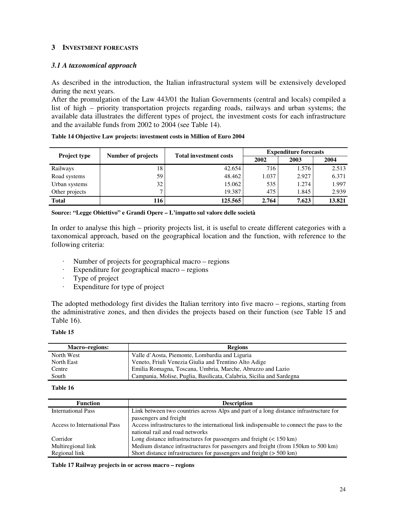## **3 INVESTMENT FORECASTS**

## *3.1 A taxonomical approach*

As described in the introduction, the Italian infrastructural system will be extensively developed during the next years.

After the promulgation of the Law 443/01 the Italian Governments (central and locals) compiled a list of high – priority transportation projects regarding roads, railways and urban systems; the available data illustrates the different types of project, the investment costs for each infrastructure and the available funds from 2002 to 2004 (see Table 14).

| Table 14 Objective Law projects: investment costs in Million of Euro 2004 |  |
|---------------------------------------------------------------------------|--|
|---------------------------------------------------------------------------|--|

| Project type   | Number of projects | <b>Total investment costs</b> | <b>Expenditure forecasts</b> |       |        |  |
|----------------|--------------------|-------------------------------|------------------------------|-------|--------|--|
|                |                    |                               | 2002                         | 2003  | 2004   |  |
| Railways       | 18                 | 42.654                        | 716                          | 1.576 | 2.513  |  |
| Road systems   | 59                 | 48.462                        | 1.037                        | 2.927 | 6.371  |  |
| Urban systems  | 32                 | 15.062                        | 535                          | 1.274 | 1.997  |  |
| Other projects | 7                  | 19.387                        | 475                          | 1.845 | 2.939  |  |
| <b>Total</b>   | 116                | 125.565                       | 2.764                        | 7.623 | 13.821 |  |

**Source: "Legge Obiettivo" e Grandi Opere – L'impatto sul valore delle società** 

In order to analyse this high – priority projects list, it is useful to create different categories with a taxonomical approach, based on the geographical location and the function, with reference to the following criteria:

- Number of projects for geographical macro regions
- Expenditure for geographical macro regions
- Type of project
- Expenditure for type of project

The adopted methodology first divides the Italian territory into five macro – regions, starting from the administrative zones, and then divides the projects based on their function (see Table 15 and Table 16).

**Table 15** 

| <b>Macro–regions:</b> | <b>Regions</b>                                                       |
|-----------------------|----------------------------------------------------------------------|
| North West            | Valle d'Aosta, Piemonte, Lombardia and Liguria                       |
| North East            | Veneto, Friuli Venezia Giulia and Trentino Alto Adige                |
| Centre                | Emilia Romagna, Toscana, Umbria, Marche, Abruzzo and Lazio           |
| South                 | Campania, Molise, Puglia, Basilicata, Calabria, Sicilia and Sardegna |

**Table 16** 

| <b>Function</b>              | <b>Description</b>                                                                        |
|------------------------------|-------------------------------------------------------------------------------------------|
| <b>International Pass</b>    | Link between two countries across Alps and part of a long distance infrastructure for     |
|                              | passengers and freight                                                                    |
| Access to International Pass | Access infrastructures to the international link indispensable to connect the pass to the |
|                              | national rail and road networks                                                           |
| Corridor                     | Long distance infrastructures for passengers and freight $(< 150 \text{ km})$             |
| Multiregional link           | Medium distance infrastructures for passengers and freight (from 150km to 500 km)         |
| Regional link                | Short distance infrastructures for passengers and freight $($ > 500 km)                   |

**Table 17 Railway projects in or across macro – regions**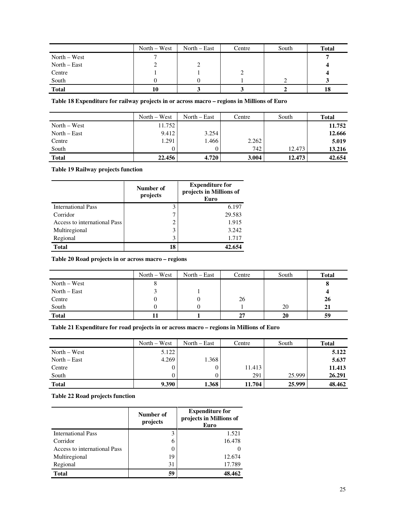|                | $North - West$ | North – East | Centre | South | <b>Total</b> |
|----------------|----------------|--------------|--------|-------|--------------|
| $North - West$ |                |              |        |       |              |
| North – East   | ↵              |              |        |       |              |
| Centre         |                |              |        |       |              |
| South          |                |              |        |       |              |
| <b>Total</b>   | 10             |              |        |       | 18           |

**Table 18 Expenditure for railway projects in or across macro – regions in Millions of Euro** 

|                | $North - West$ | North $-$ East | Centre | South  | <b>Total</b> |
|----------------|----------------|----------------|--------|--------|--------------|
| $North - West$ | 11.752         |                |        |        | 11.752       |
| North $-$ East | 9.412          | 3.254          |        |        | 12.666       |
| Centre         | 1.291          | 1.466          | 2.262  |        | 5.019        |
| South          |                |                | 742    | 12.473 | 13.216       |
| <b>Total</b>   | 22.456         | 4.720          | 3.004  | 12.473 | 42.654       |

**Table 19 Railway projects function** 

|                              | Number of<br>projects | <b>Expenditure for</b><br>projects in Millions of<br>Euro |
|------------------------------|-----------------------|-----------------------------------------------------------|
| <b>International Pass</b>    | 3                     | 6.197                                                     |
| Corridor                     |                       | 29.583                                                    |
| Access to international Pass | 2                     | 1.915                                                     |
| Multiregional                | 3                     | 3.242                                                     |
| Regional                     | 3                     | 1.717                                                     |
| <b>Total</b>                 | 18                    | 42.654                                                    |

**Table 20 Road projects in or across macro – regions**

|                | $North - West$ | $North - East$ | Centre | South | <b>Total</b> |
|----------------|----------------|----------------|--------|-------|--------------|
| $North - West$ |                |                |        |       |              |
| $North - East$ |                |                |        |       |              |
| Centre         |                |                | 26     |       | 26           |
| South          |                |                |        | 20    | 21           |
| <b>Total</b>   |                |                | 27     | 20    | 59           |

**Table 21 Expenditure for road projects in or across macro – regions in Millions of Euro** 

|                | $North - West$ | North $-$ East | Centre | South  | <b>Total</b> |
|----------------|----------------|----------------|--------|--------|--------------|
| $North - West$ | 5.122          |                |        |        | 5.122        |
| North $-$ East | 4.269          | 1.368          |        |        | 5.637        |
| Centre         |                |                | 11.413 |        | 11.413       |
| South          |                |                | 291    | 25.999 | 26.291       |
| <b>Total</b>   | 9.390          | 1.368          | 11.704 | 25.999 | 48.462       |

**Table 22 Road projects function** 

|                              | Number of<br>projects | <b>Expenditure for</b><br>projects in Millions of<br>Euro |  |
|------------------------------|-----------------------|-----------------------------------------------------------|--|
| <b>International Pass</b>    | 3                     | 1.521                                                     |  |
| Corridor                     | 6                     | 16.478                                                    |  |
| Access to international Pass |                       |                                                           |  |
| Multiregional                | 19                    | 12.674                                                    |  |
| Regional                     | 31                    | 17.789                                                    |  |
| <b>Total</b>                 | 59                    | 48.462                                                    |  |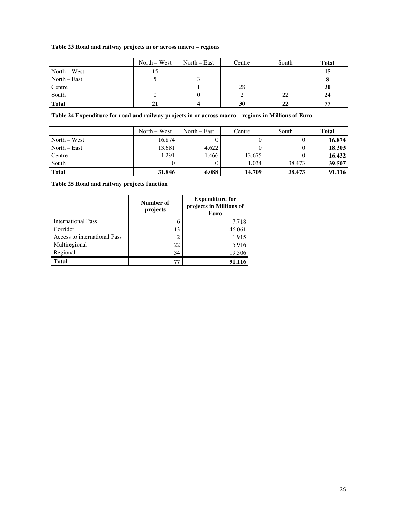## **Table 23 Road and railway projects in or across macro – regions**

|                | $North - West$ | North – East | Centre | South | <b>Total</b> |
|----------------|----------------|--------------|--------|-------|--------------|
| $North - West$ | 15             |              |        |       | 15           |
| $North - East$ |                |              |        |       |              |
| Centre         |                |              | 28     |       | 30           |
| South          |                |              |        | 22    | 24           |
| <b>Total</b>   | 21             |              | 30     | 22    | 77           |

## **Table 24 Expenditure for road and railway projects in or across macro – regions in Millions of Euro**

|                | $North - West$ | North $-$ East | Centre | South  | <b>Total</b> |
|----------------|----------------|----------------|--------|--------|--------------|
| $North - West$ | 16.874         |                |        |        | 16.874       |
| North $-$ East | 13.681         | 4.622          |        |        | 18.303       |
| Centre         | 1.291          | 1.466          | 13.675 |        | 16.432       |
| South          |                |                | 1.034  | 38.473 | 39.507       |
| <b>Total</b>   | 31.846         | 6.088          | 14.709 | 38.473 | 91.116       |

**Table 25 Road and railway projects function** 

|                              | Number of<br>projects | <b>Expenditure for</b><br>projects in Millions of<br>Euro |  |
|------------------------------|-----------------------|-----------------------------------------------------------|--|
| <b>International Pass</b>    | 6                     | 7.718                                                     |  |
| Corridor                     | 13                    | 46.061                                                    |  |
| Access to international Pass | 2                     | 1.915                                                     |  |
| Multiregional                | 22                    | 15.916                                                    |  |
| Regional                     | 34                    | 19.506                                                    |  |
| <b>Total</b>                 | 77                    | 91.116                                                    |  |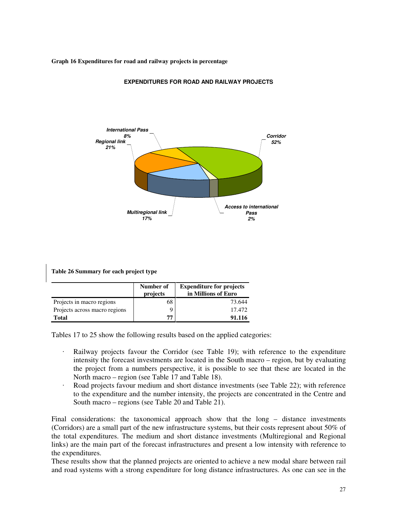**Graph 16 Expenditures for road and railway projects in percentage** 



**EXPENDITURES FOR ROAD AND RAILWAY PROJECTS**

|  | Table 26 Summary for each project type |  |  |
|--|----------------------------------------|--|--|
|  |                                        |  |  |

|                               | Number of<br>projects | <b>Expenditure for projects</b><br>in Millions of Euro |
|-------------------------------|-----------------------|--------------------------------------------------------|
| Projects in macro regions     | 68                    | 73.644                                                 |
| Projects across macro regions |                       | 17.472                                                 |
| <b>Total</b>                  | 77                    | 91.116                                                 |

Tables 17 to 25 show the following results based on the applied categories:

- Railway projects favour the Corridor (see Table 19); with reference to the expenditure intensity the forecast investments are located in the South macro – region, but by evaluating the project from a numbers perspective, it is possible to see that these are located in the North macro – region (see Table 17 and Table 18).
- Road projects favour medium and short distance investments (see Table 22); with reference to the expenditure and the number intensity, the projects are concentrated in the Centre and South macro – regions (see Table 20 and Table 21).

Final considerations: the taxonomical approach show that the long – distance investments (Corridors) are a small part of the new infrastructure systems, but their costs represent about 50% of the total expenditures. The medium and short distance investments (Multiregional and Regional links) are the main part of the forecast infrastructures and present a low intensity with reference to the expenditures.

These results show that the planned projects are oriented to achieve a new modal share between rail and road systems with a strong expenditure for long distance infrastructures. As one can see in the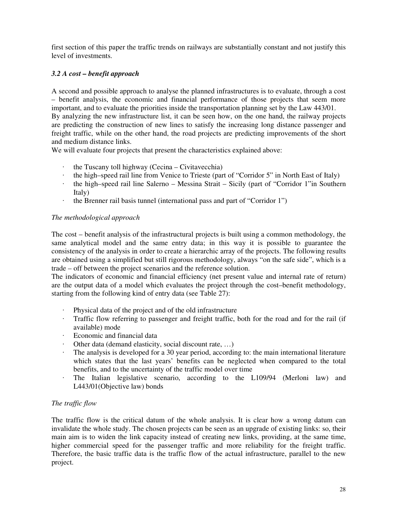first section of this paper the traffic trends on railways are substantially constant and not justify this level of investments.

## *3.2 A cost – benefit approach*

A second and possible approach to analyse the planned infrastructures is to evaluate, through a cost – benefit analysis, the economic and financial performance of those projects that seem more important, and to evaluate the priorities inside the transportation planning set by the Law 443/01.

By analyzing the new infrastructure list, it can be seen how, on the one hand, the railway projects are predicting the construction of new lines to satisfy the increasing long distance passenger and freight traffic, while on the other hand, the road projects are predicting improvements of the short and medium distance links.

We will evaluate four projects that present the characteristics explained above:

- the Tuscany toll highway (Cecina Civitavecchia)
- the high–speed rail line from Venice to Trieste (part of "Corridor 5" in North East of Italy)
- $\cdot$  the high–speed rail line Salerno Messina Strait Sicily (part of "Corridor 1"in Southern Italy)
- the Brenner rail basis tunnel (international pass and part of "Corridor 1")

## *The methodological approach*

The cost – benefit analysis of the infrastructural projects is built using a common methodology, the same analytical model and the same entry data; in this way it is possible to guarantee the consistency of the analysis in order to create a hierarchic array of the projects. The following results are obtained using a simplified but still rigorous methodology, always "on the safe side", which is a trade – off between the project scenarios and the reference solution.

The indicators of economic and financial efficiency (net present value and internal rate of return) are the output data of a model which evaluates the project through the cost–benefit methodology, starting from the following kind of entry data (see Table 27):

- Physical data of the project and of the old infrastructure
- Traffic flow referring to passenger and freight traffic, both for the road and for the rail (if available) mode
- Economic and financial data
- Other data (demand elasticity, social discount rate, …)
- The analysis is developed for a 30 year period, according to: the main international literature which states that the last years' benefits can be neglected when compared to the total benefits, and to the uncertainty of the traffic model over time
- The Italian legislative scenario, according to the L109/94 (Merloni law) and L443/01(Objective law) bonds

## *The traffic flow*

The traffic flow is the critical datum of the whole analysis. It is clear how a wrong datum can invalidate the whole study. The chosen projects can be seen as an upgrade of existing links: so, their main aim is to widen the link capacity instead of creating new links, providing, at the same time, higher commercial speed for the passenger traffic and more reliability for the freight traffic. Therefore, the basic traffic data is the traffic flow of the actual infrastructure, parallel to the new project.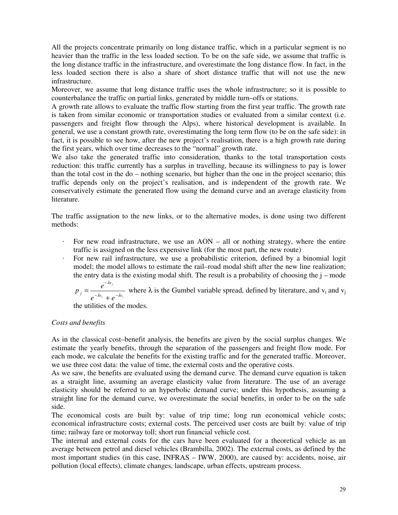All the projects concentrate primarily on long distance traffic, which in a particular segment is no heavier than the traffic in the less loaded section. To be on the safe side, we assume that traffic is the long distance traffic in the infrastructure, and overestimate the long distance flow. In fact, in the less loaded section there is also a share of short distance traffic that will not use the new infrastructure.

Moreover, we assume that long distance traffic uses the whole infrastructure; so it is possible to counterbalance the traffic on partial links, generated by middle turn–offs or stations.

A growth rate allows to evaluate the traffic flow starting from the first year traffic. The growth rate is taken from similar economic or transportation studies or evaluated from a similar context (i.e. passengers and freight flow through the Alps), where historical development is available. In general, we use a constant growth rate, overestimating the long term flow (to be on the safe side): in fact, it is possible to see how, after the new project's realisation, there is a high growth rate during the first years, which over time decreases to the "normal" growth rate.

We also take the generated traffic into consideration, thanks to the total transportation costs reduction: this traffic currently has a surplus in travelling, because its willingness to pay is lower than the total cost in the do – nothing scenario, but higher than the one in the project scenario; this traffic depends only on the project's realisation, and is independent of the growth rate. We conservatively estimate the generated flow using the demand curve and an average elasticity from literature.

The traffic assignation to the new links, or to the alternative modes, is done using two different methods:

- For new road infrastructure, we use an  $AON all$  or nothing strategy, where the entire traffic is assigned on the less expensive link (for the most part, the new route)
- For new rail infrastructure, we use a probabilistic criterion, defined by a binomial logit model; the model allows to estimate the rail–road modal shift after the new line realization; the entry data is the existing modal shift. The result is a probability of choosing the  $j$  – mode

$$
p_j = \frac{e^{-\lambda v_j}}{e^{-\lambda v_i} + e^{-\lambda v_i}}
$$
 where  $\lambda$  is the Gumbel variable spread, defined by literature, and  $v_i$  and  $v_j$ 

the utilities of the modes.

## *Costs and benefits*

As in the classical cost–benefit analysis, the benefits are given by the social surplus changes. We estimate the yearly benefits, through the separation of the passengers and freight flow mode. For each mode, we calculate the benefits for the existing traffic and for the generated traffic. Moreover, we use three cost data: the value of time, the external costs and the operative costs.

As we saw, the benefits are evaluated using the demand curve. The demand curve equation is taken as a straight line, assuming an average elasticity value from literature. The use of an average elasticity should be referred to an hyperbolic demand curve; under this hypothesis, assuming a straight line for the demand curve, we overestimate the social benefits, in order to be on the safe side.

The economical costs are built by: value of trip time; long run economical vehicle costs; economical infrastructure costs; external costs. The perceived user costs are built by: value of trip time; railway fare or motorway toll; short run financial vehicle cost.

The internal and external costs for the cars have been evaluated for a theoretical vehicle as an average between petrol and diesel vehicles (Brambilla, 2002). The external costs, as defined by the most important studies (in this case, INFRAS – IWW, 2000), are caused by: accidents, noise, air pollution (local effects), climate changes, landscape, urban effects, upstream process.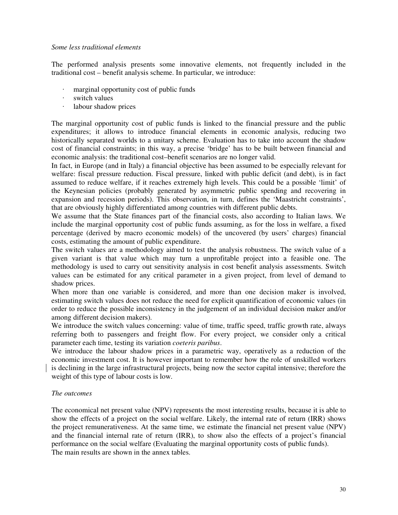#### *Some less traditional elements*

The performed analysis presents some innovative elements, not frequently included in the traditional cost – benefit analysis scheme. In particular, we introduce:

- marginal opportunity cost of public funds
- switch values
- labour shadow prices

The marginal opportunity cost of public funds is linked to the financial pressure and the public expenditures; it allows to introduce financial elements in economic analysis, reducing two historically separated worlds to a unitary scheme. Evaluation has to take into account the shadow cost of financial constraints; in this way, a precise 'bridge' has to be built between financial and economic analysis: the traditional cost–benefit scenarios are no longer valid.

In fact, in Europe (and in Italy) a financial objective has been assumed to be especially relevant for welfare: fiscal pressure reduction. Fiscal pressure, linked with public deficit (and debt), is in fact assumed to reduce welfare, if it reaches extremely high levels. This could be a possible 'limit' of the Keynesian policies (probably generated by asymmetric public spending and recovering in expansion and recession periods). This observation, in turn, defines the 'Maastricht constraints', that are obviously highly differentiated among countries with different public debts.

We assume that the State finances part of the financial costs, also according to Italian laws. We include the marginal opportunity cost of public funds assuming, as for the loss in welfare, a fixed percentage (derived by macro economic models) of the uncovered (by users' charges) financial costs, estimating the amount of public expenditure.

The switch values are a methodology aimed to test the analysis robustness. The switch value of a given variant is that value which may turn a unprofitable project into a feasible one. The methodology is used to carry out sensitivity analysis in cost benefit analysis assessments. Switch values can be estimated for any critical parameter in a given project, from level of demand to shadow prices.

When more than one variable is considered, and more than one decision maker is involved, estimating switch values does not reduce the need for explicit quantification of economic values (in order to reduce the possible inconsistency in the judgement of an individual decision maker and/or among different decision makers).

We introduce the switch values concerning: value of time, traffic speed, traffic growth rate, always referring both to passengers and freight flow. For every project, we consider only a critical parameter each time, testing its variation *coeteris paribus*.

We introduce the labour shadow prices in a parametric way, operatively as a reduction of the economic investment cost. It is however important to remember how the role of unskilled workers is declining in the large infrastructural projects, being now the sector capital intensive; therefore the weight of this type of labour costs is low.

#### *The outcomes*

The economical net present value (NPV) represents the most interesting results, because it is able to show the effects of a project on the social welfare. Likely, the internal rate of return (IRR) shows the project remunerativeness. At the same time, we estimate the financial net present value (NPV) and the financial internal rate of return (IRR), to show also the effects of a project's financial performance on the social welfare (Evaluating the marginal opportunity costs of public funds). The main results are shown in the annex tables.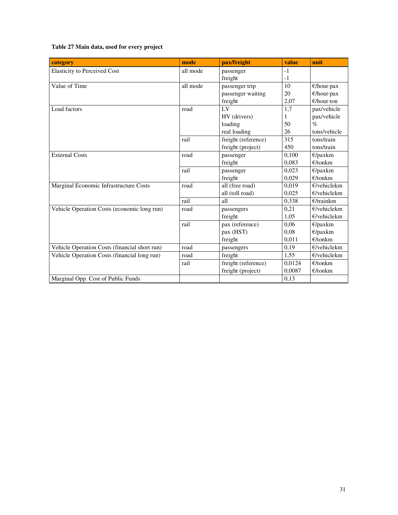## **Table 27 Main data, used for every project**

| category                                      | mode     | pax/freight         | value           | unit                 |
|-----------------------------------------------|----------|---------------------|-----------------|----------------------|
| <b>Elasticity to Perceived Cost</b>           | all mode | passenger           | $-1$            |                      |
|                                               |          | freight             | $-1$            |                      |
| Value of Time                                 | all mode | passenger trip      | $\overline{10}$ | $\epsilon$ /hour·pax |
|                                               |          | passenger waiting   | 20              | €/hour·pax           |
|                                               |          | freight             | 2,07            | $\epsilon$ /hour·ton |
| Load factors                                  | road     | L <sub>V</sub>      | 1,7             | pax/vehicle          |
|                                               |          | HV (drivers)        | 1               | pax/vehicle          |
|                                               |          | loading             | 50              | $\%$                 |
|                                               |          | real loading        | 26              | tons/vehicle         |
|                                               | rail     | freight (reference) | 315             | tons/train           |
|                                               |          | freight (project)   | 450             | tons/train           |
| <b>External Costs</b>                         | road     | passenger           | 0,100           | $E$ /paxkm           |
|                                               |          | freight             | 0,083           | $E$ /tonkm           |
|                                               | rail     | passenger           | 0,023           | $E$ /paxkm           |
|                                               |          | freight             | 0.029           | E/tonkm              |
| Marginal Economic Infrastructure Costs        | road     | all (free road)     | 0,019           | $E$ /vehiclekm       |
|                                               |          | all (toll road)     | 0,025           | $E$ /vehiclekm       |
|                                               | rail     | all                 | 0,338           | $E$ /trainkm         |
| Vehicle Operation Costs (economic long run)   | road     | passengers          | 0,21            | $E$ /vehiclekm       |
|                                               |          | freight             | 1,05            | $E$ /vehiclekm       |
|                                               | rail     | pax (reference)     | 0.06            | $E$ /paxkm           |
|                                               |          | pax (HST)           | 0,08            | $E$ /paxkm           |
|                                               |          | freight             | 0,011           | E/tonkm              |
| Vehicle Operation Costs (financial short run) | road     | passengers          | 0,19            | $E$ /vehiclekm       |
| Vehicle Operation Costs (financial long run)  | road     | freight             | 1,55            | $E$ /vehiclekm       |
|                                               | rail     | freight (reference) | 0,0124          | $E$ /tonkm           |
|                                               |          | freight (project)   | 0,0087          | $E$ /tonkm           |
| Marginal Opp. Cost of Public Funds            |          |                     | 0,13            |                      |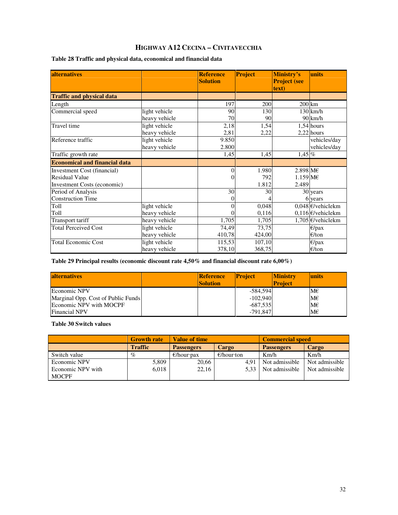## **HIGHWAY A12 CECINA – CIVITAVECCHIA**

| Table 28 Traffic and physical data, economical and financial data |  |  |  |
|-------------------------------------------------------------------|--|--|--|
|-------------------------------------------------------------------|--|--|--|

| alternatives                         |               | <b>Reference</b><br><b>Solution</b> | Project | Ministry's<br><b>Project (see</b><br>text) | units                       |
|--------------------------------------|---------------|-------------------------------------|---------|--------------------------------------------|-----------------------------|
| <b>Traffic and physical data</b>     |               |                                     |         |                                            |                             |
| Length                               |               | 197                                 | 200     | $200$ km                                   |                             |
| Commercial speed                     | light vehicle | 90                                  | 130     |                                            | $130 \mathrm{km/h}$         |
|                                      | heavy vehicle | 70                                  | 90      |                                            | $90 \, \mathrm{km/h}$       |
| Travel time                          | light vehicle | 2,18                                | 1,54    |                                            | $1,54$ hours                |
|                                      | heavy vehicle | 2,81                                | 2,22    |                                            | $2,22$ hours                |
| Reference traffic                    | light vehicle | 9.850                               |         |                                            | vehicles/day                |
|                                      | heavy vehicle | 2.800                               |         |                                            | vehicles/day                |
| Traffic growth rate                  |               | 1,45                                | 1,45    | $1,45\%$                                   |                             |
| <b>Economical and financial data</b> |               |                                     |         |                                            |                             |
| Investment Cost (financial)          |               | 0                                   | 1.980   | $2.898 \overline{\text{M} \text{E}}$       |                             |
| Residual Value                       |               | 0                                   | 792     | $1.159$ ME                                 |                             |
| <b>Investment Costs (economic)</b>   |               |                                     | 1.812   | 2.489                                      |                             |
| Period of Analysis                   |               | 30                                  | 30      |                                            | $30$ years                  |
| <b>Construction Time</b>             |               | 0                                   |         |                                            | 6 years                     |
| Toll                                 | light vehicle | 0                                   | 0,048   |                                            | 0,048 $\epsilon$ /vehiclekm |
| Toll                                 | heavy vehicle | 0                                   | 0,116   |                                            | $0,116$ <i>E</i> /vehiclekm |
| Transport tariff                     | heavy vehicle | 1,705                               | 1,705   |                                            | 1,705 $\epsilon$ /vehiclekm |
| <b>Total Perceived Cost</b>          | light vehicle | 74,49                               | 73,75   |                                            | $E$ /pax                    |
|                                      | heavy vehicle | 410,78                              | 424,00  |                                            | $\epsilon$ /ton             |
| <b>Total Economic Cost</b>           | light vehicle | 115,53                              | 107,10  |                                            | $\epsilon$ /pax             |
|                                      | heavy vehicle | 378,10                              | 368,75  |                                            | E/ton                       |

**Table 29 Principal results (economic discount rate 4,50% and financial discount rate 6,00%)** 

| <b>alternatives</b>                | <b>Reference</b><br><b>Solution</b> | <b>Project</b> | <b>Ministry</b><br><b>Project</b> | <b>units</b> |
|------------------------------------|-------------------------------------|----------------|-----------------------------------|--------------|
| Economic NPV                       |                                     | $-584,594$     |                                   | $M\in$       |
| Marginal Opp. Cost of Public Funds |                                     | $-102,940$     |                                   | $M\epsilon$  |
| Economic NPV with MOCPF            |                                     | $-687.535$     |                                   | $M \in$      |
| <b>Financial NPV</b>               |                                     | $-791.847$     |                                   | $M \in$      |

**Table 30 Switch values** 

|                   | <b>Growth rate</b> | <b>Value of time</b> |                      | <b>Commercial speed</b> |                |  |
|-------------------|--------------------|----------------------|----------------------|-------------------------|----------------|--|
|                   | <b>Traffic</b>     | <b>Passengers</b>    | Cargo                | <b>Passengers</b>       | Cargo          |  |
| Switch value      | $\%$               | $\epsilon$ /hour·pax | $\epsilon$ /hour·ton | Km/h                    | Km/h           |  |
| Economic NPV      | 5,809              | 20,66                | 4.91                 | Not admissible          | Not admissible |  |
| Economic NPV with | 6.018              | 22,16                | 5.33                 | Not admissible          | Not admissible |  |
| <b>MOCPF</b>      |                    |                      |                      |                         |                |  |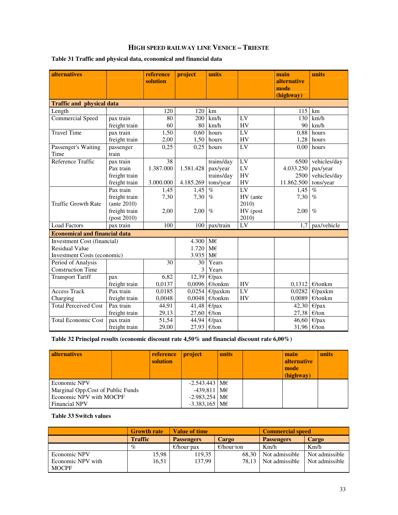## **HIGH SPEED RAILWAY LINE VENICE – TRIESTE**

## **Table 31 Traffic and physical data, economical and financial data**

| <b>alternatives</b>                  |                   | reference<br>solution | project   | units                      |                 | main<br><b>alternative</b><br>mode<br>(highway) | units                      |
|--------------------------------------|-------------------|-----------------------|-----------|----------------------------|-----------------|-------------------------------------------------|----------------------------|
| <b>Traffic and physical data</b>     |                   |                       |           |                            |                 |                                                 |                            |
| Length                               |                   | 120                   | 120       | km                         |                 | 115                                             | km                         |
| <b>Commercial Speed</b>              | pax train         | 80                    | 200       | km/h                       | LV              | 130                                             | km/h                       |
|                                      | freight train     | 60                    | 80        | km/h                       | HV              | 90                                              | km/h                       |
| <b>Travel Time</b>                   | pax train         | 1,50                  | 0,60      | hours                      | LV              | 0,88                                            | hours                      |
|                                      | freight train     | 2,00                  | 1,50      | hours                      | HV              | 1,28                                            | hours                      |
| Passenger's Waiting                  | passenger         | 0,25                  | 0,25      | hours                      | LV              | 0,00                                            | hours                      |
| Time                                 | train             |                       |           |                            |                 |                                                 |                            |
| Reference Traffic                    | pax train         | 38                    |           | trains/day                 | LV              | 6500                                            | vehicles/day               |
|                                      | Pax train         | 1.387.000             | 1.581.428 | pax/year                   | LV              | 4.033.250                                       | pax/year                   |
|                                      | freight train     |                       |           | trains/day                 | <b>HV</b>       | 2500                                            | vehicles/day               |
|                                      | freight train     | 3.000.000             | 4.185.269 | tons/year                  | HV              | 11.862.500                                      | tons/year                  |
|                                      | Pax train         | 1,45                  | 1,45      | $\%$                       | LV              | 1,45                                            | $\%$                       |
|                                      | freight train     | 7,30                  | 7,30      | $\%$                       | HV (ante        | 7,30                                            | $\%$                       |
| <b>Traffic Growth Rate</b>           | $($ ante 2010 $)$ |                       |           |                            | 2010)           |                                                 |                            |
|                                      | freight train     | 2,00                  | 2,00      | $\%$                       | HV (post        | 2,00                                            | $\%$                       |
|                                      | $-post 2010)$     |                       |           |                            | 2010)           |                                                 |                            |
| <b>Load Factors</b>                  | pax train         | 100                   | 100       | pax/train                  | LV              | 1.7                                             | pax/vehicle                |
| <b>Economical and financial data</b> |                   |                       |           |                            |                 |                                                 |                            |
| Investment Cost (financial)          |                   |                       | 4.300     | M€                         |                 |                                                 |                            |
| <b>Residual Value</b>                |                   |                       | 1.720     | M€                         |                 |                                                 |                            |
| Investment Costs (economic)          |                   |                       | 3.935     | M€                         |                 |                                                 |                            |
| Period of Analysis                   |                   | 30                    | 30        | Years                      |                 |                                                 |                            |
| <b>Construction Time</b>             |                   |                       | 3         | Years                      |                 |                                                 |                            |
| <b>Transport Tariff</b>              | pax               | 6,82                  | 12,39     | $E$ /pax                   |                 |                                                 |                            |
|                                      | freight train     | 0,0137                | 0,0096    | $E$ /tonkm                 | HV              | 0,1312                                          | $E$ /tonkm                 |
| <b>Access Track</b>                  | Pax train         | 0,0185                | 0,0254    | $E$ /paxkm                 | $\overline{LV}$ | 0,0282                                          | $E$ /paxkm                 |
| Charging                             | freight train     | 0,0048                | 0,0048    | $E$ /tonkm                 | HV              | 0,0089                                          | $E$ /tonkm                 |
| <b>Total Perceived Cost</b>          | Pax train         | 44,91                 | 41,48     | $E$ /pax                   |                 | 42,30                                           | $E$ /pax                   |
|                                      | freight train     | 29,13                 | 27,60     | E/ton                      |                 | 27,38                                           | E/ton                      |
| <b>Total Economic Cost</b>           | pax train         | 51,54                 | 44,94     | $\overline{\epsilon}$ /pax |                 | 46,60                                           | $\overline{\epsilon}$ /pax |
|                                      | freight train     | 29,00                 | 27,93     | E/ton                      |                 | 31,96 €/ton                                     |                            |

**Table 32 Principal results (economic discount rate 4,50% and financial discount rate 6,00%)** 

| <b>alternatives</b>               |  | reference<br>solution | <i>project</i>                    | units | main<br><b>alternative</b><br>mode<br>(highway) | units |
|-----------------------------------|--|-----------------------|-----------------------------------|-------|-------------------------------------------------|-------|
| Economic NPV                      |  |                       | $-2.543.443 \, \text{M} \epsilon$ |       |                                                 |       |
| Marginal Opp.Cost of Public Funds |  |                       | $-439,811$ ME                     |       |                                                 |       |
| Economic NPV with MOCPF           |  |                       | $-2.983,254$ ME                   |       |                                                 |       |
| <b>Financial NPV</b>              |  |                       | $-3.383.165$ ME                   |       |                                                 |       |

**Table 33 Switch values** 

|                   | <b>Growth rate</b> | <b>Value of time</b> |                      | <b>Commercial speed</b> |                |  |
|-------------------|--------------------|----------------------|----------------------|-------------------------|----------------|--|
|                   | <b>Traffic</b>     | <b>Passengers</b>    | <b>Cargo</b>         | <b>Passengers</b>       | Cargo          |  |
|                   | $\%$               | $\epsilon$ /hour·pax | $\epsilon$ /hour·ton | Km/h                    | Km/h           |  |
| Economic NPV      | 15,98              | 119,35               | 68.30                | Not admissible          | Not admissible |  |
| Economic NPV with | 16.51              | 137.99               | 78.13                | Not admissible          | Not admissible |  |
| <b>MOCPF</b>      |                    |                      |                      |                         |                |  |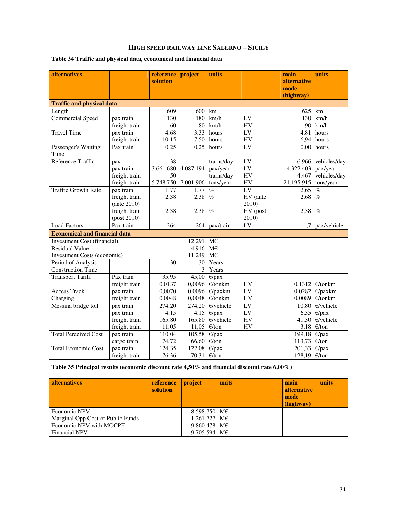## **HIGH SPEED RAILWAY LINE SALERNO – SICILY**

## **Table 34 Traffic and physical data, economical and financial data**

| <b>alternatives</b>                  |                   | reference | project   | units        |                 | main                | units               |
|--------------------------------------|-------------------|-----------|-----------|--------------|-----------------|---------------------|---------------------|
|                                      |                   | solution  |           |              |                 | alternative<br>mode |                     |
|                                      |                   |           |           |              |                 | (highway)           |                     |
| <b>Traffic and physical data</b>     |                   |           |           |              |                 |                     |                     |
| Length                               |                   | 609       | 600       | km           |                 | 625                 | km                  |
| <b>Commercial Speed</b>              | pax train         | 130       | 180       | km/h         | LV              | 130                 | km/h                |
|                                      | freight train     | 60        | 80        | km/h         | <b>HV</b>       | 90                  | km/h                |
| <b>Travel Time</b>                   | pax train         | 4,68      | 3,33      | hours        | $\overline{LV}$ | 4,81                | hours               |
|                                      | freight train     | 10,15     | 7,50      | hours        | HV              | 6,94                | hours               |
| Passenger's Waiting<br>Time          | Pax train         | 0,25      | 0,25      | hours        | LV              | 0,00                | hours               |
| Reference Traffic                    | pax               | 38        |           | trains/day   | LV              | 6.966               | vehicles/day        |
|                                      | pax train         | 3.661.680 | 4.087.194 | pax/year     | LV              | 4.322.403           | pax/year            |
|                                      | freight train     | 50        |           | trains/day   | HV              | 4.467               | vehicles/day        |
|                                      | freight train     | 5.748.750 | 7.001.906 | tons/year    | HV              | 21.195.915          | tons/year           |
| <b>Traffic Growth Rate</b>           | pax train         | 1,77      | 1,77      | $\%$         | LV              | 2,65                | $\%$                |
|                                      | freight train     | 2,38      | 2,38      | $\%$         | HV (ante        | 2,68                | $\%$                |
|                                      | $($ ante 2010 $)$ |           |           |              | 2010)           |                     |                     |
|                                      | freight train     | 2,38      | 2,38      | $\%$         | HV (post        | 2,38                | $\%$                |
|                                      | $-post 2010)$     |           |           |              | 2010)           |                     |                     |
| <b>Load Factors</b>                  | Pax train         | 264       | 264       | pax/train    | LV              | 1.7                 | pax/vehicle         |
| <b>Economical and financial data</b> |                   |           |           |              |                 |                     |                     |
| <b>Investment Cost (financial)</b>   |                   |           | 12.291    | $M\in$       |                 |                     |                     |
| <b>Residual Value</b>                |                   |           | 4.916     | M€           |                 |                     |                     |
| <b>Investment Costs (economic)</b>   |                   |           | 11.249    | $M\in$       |                 |                     |                     |
| Period of Analysis                   |                   | 30        | 30        | Years        |                 |                     |                     |
| <b>Construction Time</b>             |                   |           | 3         | Years        |                 |                     |                     |
| <b>Transport Tariff</b>              | Pax train         | 35,95     | 45,00     | $E$ /pax     |                 |                     |                     |
|                                      | freight train     | 0,0137    | 0,0096    | $E$ /tonkm   | HV              | 0,1312              | $\epsilon$ /tonkm   |
| <b>Access Track</b>                  | pax train         | 0,0070    | 0,0096    | $E$ /paxkm   | LV              | 0,0282              | $E/$ paxkm          |
| Charging                             | freight train     | 0,0048    | 0,0048    | $E$ /tonkm   | HV              | 0,0089              | $E$ /tonkm          |
| Messina bridge toll                  | pax train         | 274,20    | 274,20    | $E$ /vehicle | LV              | 10,80               | $\epsilon$ /vehicle |
|                                      | pax train         | 4,15      | 4,15      | $E$ /pax     | ${\rm LV}$      | 6,35                | $E$ /pax            |
|                                      | freight train     | 165,80    | 165,80    | $E$ /vehicle | HV              | 41,30               | $\epsilon$ /vehicle |
|                                      | freight train     | 11,05     | 11,05     | E/ton        | HV              | 3,18                | E/ton               |
| <b>Total Perceived Cost</b>          | pax train         | 110,04    | 105,58    | $E$ /pax     |                 | 199,18              | $E$ /pax            |
|                                      | cargo train       | 74,72     | 66,60     | E/ton        |                 | 113,73              | E/ton               |
| <b>Total Economic Cost</b>           | pax train         | 124,35    | 122,08    | $E$ /pax     |                 | 201,33              | $E$ /pax            |
|                                      | freight train     | 76,36     | 70,31     | E/ton        |                 | 128,19              | $\in$ /ton          |

**Table 35 Principal results (economic discount rate 4,50% and financial discount rate 6,00%)** 

| <b>alternatives</b>               |  | reference<br>solution | project         | units | main<br><b>alternative</b><br>mode<br>(highway) | units |
|-----------------------------------|--|-----------------------|-----------------|-------|-------------------------------------------------|-------|
| Economic NPV                      |  |                       | $-8.598,750$ ME |       |                                                 |       |
| Marginal Opp.Cost of Public Funds |  |                       | $-1.261,727$ ME |       |                                                 |       |
| Economic NPV with MOCPF           |  |                       | $-9.860,478$ ME |       |                                                 |       |
| <b>Financial NPV</b>              |  |                       | $-9.705,594$ ME |       |                                                 |       |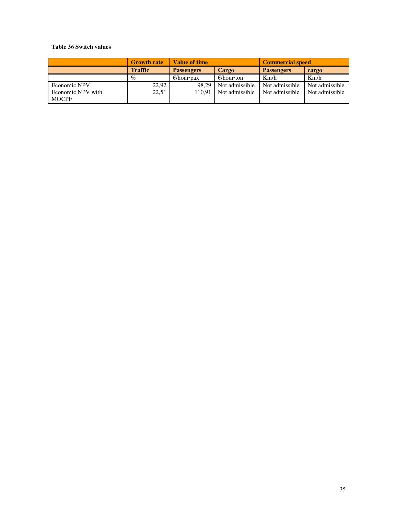## **Table 36 Switch values**

|                                   | <b>Growth rate</b> | <b>Value of time</b> |                         | <b>Commercial speed</b> |                |  |
|-----------------------------------|--------------------|----------------------|-------------------------|-------------------------|----------------|--|
|                                   | <b>Traffic</b>     | <b>Passengers</b>    | Cargo                   | <b>Passengers</b>       | cargo          |  |
|                                   | $\%$               | $\epsilon$ /hour·pax | $\epsilon$ /hour·ton    | Km/h                    | Km/h           |  |
| Economic NPV                      | 22,92              | 98.29                | Not admissible          | Not admissible          | Not admissible |  |
| Economic NPV with<br><b>MOCPF</b> | 22,51              |                      | 110.91   Not admissible | Not admissible          | Not admissible |  |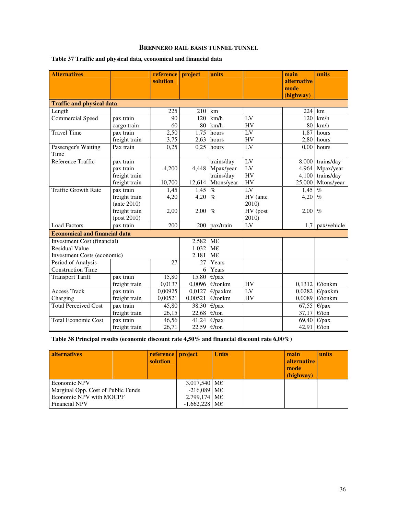## **BRENNERO RAIL BASIS TUNNEL TUNNEL**

| <b>Alternatives</b>                  |                   | reference<br>solution | project | units      |                        | main<br>alternative<br>mode<br>(highway) | units                 |
|--------------------------------------|-------------------|-----------------------|---------|------------|------------------------|------------------------------------------|-----------------------|
| <b>Traffic and physical data</b>     |                   |                       |         |            |                        |                                          |                       |
| Length                               |                   | 225                   | 210     | km         |                        | 224                                      | km                    |
| <b>Commercial Speed</b>              | pax train         | 90                    | 120     | km/h       | LV                     | 120                                      | km/h                  |
|                                      | cargo train       | 60                    | 80      | km/h       | HV                     | 80                                       | km/h                  |
| <b>Travel Time</b>                   | pax train         | 2,50                  | 1,75    | hours      | $\overline{\text{LV}}$ | 1,87                                     | hours                 |
|                                      | freight train     | 3,75                  | 2,63    | hours      | HV                     |                                          | $2,80$ hours          |
| Passenger's Waiting<br>Time          | Pax train         | 0,25                  | 0.25    | hours      | LV                     | 0.00                                     | hours                 |
| Reference Traffic                    | pax train         |                       |         | trains/day | LV                     | 8.000                                    | trains/day            |
|                                      | pax train         | 4,200                 | 4,448   | Mpax/year  | LV                     | 4,964                                    | Mpax/year             |
|                                      | freight train     |                       |         | trains/day | HV                     | 4,100                                    | trains/day            |
|                                      | freight train     | 10,700                | 12,614  | Mtons/year | HV                     | 25,000                                   | Mtons/year            |
| <b>Traffic Growth Rate</b>           | pax train         | 1,45                  | 1,45    | $\%$       | $\overline{LV}$        | 1,45                                     | $\overline{\%}$       |
|                                      | freight train     | 4,20                  | 4,20    | $\%$       | HV (ante               | 4,20                                     | $\%$                  |
|                                      | $($ ante 2010 $)$ |                       |         |            | 2010)                  |                                          |                       |
|                                      | freight train     | 2,00                  | 2,00    | $\%$       | HV (post               | 2,00                                     | $\%$                  |
|                                      | $-post 2010)$     |                       |         |            | 2010)                  |                                          |                       |
| <b>Load Factors</b>                  | pax train         | 200                   | 200     | pax/train  | LV                     | 1.7                                      | pax/vehicle           |
| <b>Economical and financial data</b> |                   |                       |         |            |                        |                                          |                       |
| <b>Investment Cost (financial)</b>   |                   |                       | 2.582   | $M\in$     |                        |                                          |                       |
| <b>Residual Value</b>                |                   |                       | 1.032   | M€         |                        |                                          |                       |
| <b>Investment Costs (economic)</b>   |                   |                       | 2.181   | M€         |                        |                                          |                       |
| Period of Analysis                   |                   | 27                    | 27      | Years      |                        |                                          |                       |
| <b>Construction Time</b>             |                   |                       | 6       | Years      |                        |                                          |                       |
| <b>Transport Tariff</b>              | pax train         | 15,80                 | 15,80   | $E$ /pax   |                        |                                          |                       |
|                                      | freight train     | 0,0137                | 0,0096  | $E$ /tonkm | <b>HV</b>              | 0,1312                                   | $E$ /tonkm            |
| <b>Access Track</b>                  | pax train         | 0,00925               | 0,0127  | $E$ /paxkm | $\overline{LV}$        | 0,0282                                   | $E$ /paxkm            |
| Charging                             | freight train     | 0,00521               | 0,00521 | $E$ /tonkm | HV                     | 0,0089                                   | $E$ /tonkm            |
| <b>Total Perceived Cost</b>          | pax train         | 45,80                 | 38,30   | $E$ /pax   |                        |                                          | 67,55 $\epsilon$ /pax |
|                                      | freight train     | 26,15                 | 22,68   | E/ton      |                        | 37,17                                    | E/ton                 |
| <b>Total Economic Cost</b>           | pax train         | 46,56                 | 41,24   | $E$ /pax   |                        |                                          | 69,40 $\epsilon$ /pax |
|                                      | freight train     | 26,71                 | 22,59   | E/ton      |                        | 42,91 $\epsilon$ /ton                    |                       |

## **Table 37 Traffic and physical data, economical and financial data**

**Table 38 Principal results (economic discount rate 4,50% and financial discount rate 6,00%)** 

| <b>alternatives</b>                | reference   project<br>solution |                 | <b>Units</b> | main<br><b>alternative</b><br>mode<br>(highway) | units |
|------------------------------------|---------------------------------|-----------------|--------------|-------------------------------------------------|-------|
| Economic NPV                       |                                 | $3.017,540$ ME  |              |                                                 |       |
| Marginal Opp. Cost of Public Funds |                                 | $-216,089$ ME   |              |                                                 |       |
| Economic NPV with MOCPF            |                                 | $2.799,174$ ME  |              |                                                 |       |
| <b>Financial NPV</b>               |                                 | $-1.662,228$ ME |              |                                                 |       |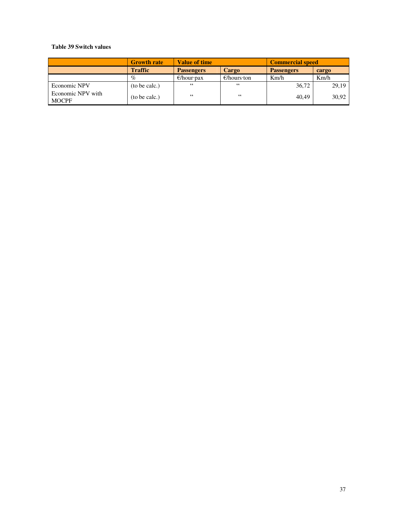## **Table 39 Switch values**

|                                   | <b>Growth rate</b> | <b>Value of time</b> |                       | <b>Commercial speed</b> |       |  |
|-----------------------------------|--------------------|----------------------|-----------------------|-------------------------|-------|--|
|                                   | <b>Traffic</b>     | <b>Passengers</b>    | Cargo                 | <b>Passengers</b>       | cargo |  |
|                                   | $\%$               | $\epsilon$ /hour·pax | $\epsilon$ /hours·ton | Km/h                    | Km/h  |  |
| Economic NPV                      | (to be calc.)      | 66                   | 66                    | 36,72                   | 29,19 |  |
| Economic NPV with<br><b>MOCPF</b> | (to be calc.)      | 66                   | 66                    | 40.49                   | 30,92 |  |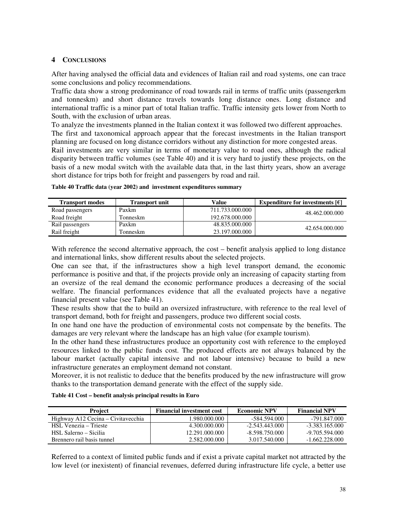## **4 CONCLUSIONS**

After having analysed the official data and evidences of Italian rail and road systems, one can trace some conclusions and policy recommendations.

Traffic data show a strong predominance of road towards rail in terms of traffic units (passengerkm and tonneskm) and short distance travels towards long distance ones. Long distance and international traffic is a minor part of total Italian traffic. Traffic intensity gets lower from North to South, with the exclusion of urban areas.

To analyze the investments planned in the Italian context it was followed two different approaches. The first and taxonomical approach appear that the forecast investments in the Italian transport planning are focused on long distance corridors without any distinction for more congested areas.

Rail investments are very similar in terms of monetary value to road ones, although the radical disparity between traffic volumes (see Table 40) and it is very hard to justify these projects, on the basis of a new modal switch with the available data that, in the last thirty years, show an average short distance for trips both for freight and passengers by road and rail.

| <b>Transport modes</b> | <b>Transport unit</b> | Value           | Expenditure for investments $\varepsilon$ |
|------------------------|-----------------------|-----------------|-------------------------------------------|
| Road passengers        | Paxkm                 | 711.733.000.000 | 48.462.000.000                            |
| Road freight           | Tonneskm              | 192.678.000.000 |                                           |
| Rail passengers        | Paxkm                 | 48.835.000.000  | 42.654.000.000                            |
| Rail freight           | Tonneskm              | 23.197.000.000  |                                           |

| Table 40 Traffic data (year 2002) and investment expenditures summary |  |
|-----------------------------------------------------------------------|--|
|-----------------------------------------------------------------------|--|

With reference the second alternative approach, the cost – benefit analysis applied to long distance and international links, show different results about the selected projects.

One can see that, if the infrastructures show a high level transport demand, the economic performance is positive and that, if the projects provide only an increasing of capacity starting from an oversize of the real demand the economic performance produces a decreasing of the social welfare. The financial performances evidence that all the evaluated projects have a negative financial present value (see Table 41).

These results show that the to build an oversized infrastructure, with reference to the real level of transport demand, both for freight and passengers, produce two different social costs.

In one hand one have the production of environmental costs not compensate by the benefits. The damages are very relevant where the landscape has an high value (for example tourism).

In the other hand these infrastructures produce an opportunity cost with reference to the employed resources linked to the public funds cost. The produced effects are not always balanced by the labour market (actually capital intensive and not labour intensive) because to build a new infrastructure generates an employment demand not constant.

Moreover, it is not realistic to deduce that the benefits produced by the new infrastructure will grow thanks to the transportation demand generate with the effect of the supply side.

| <b>Project</b>                     | <b>Financial investment cost</b> | <b>Economic NPV</b> | <b>Financial NPV</b> |
|------------------------------------|----------------------------------|---------------------|----------------------|
| Highway A12 Cecina – Civitavecchia | 1.980.000.000                    | -584.594.000        | -791.847.000         |
| HSL Venezia – Trieste              | 4.300.000.000                    | $-2.543.443.000$    | $-3.383.165.000$     |
| HSL Salerno – Sicilia              | 12.291.000.000                   | $-8,598,750,000$    | $-9.705.594.000$     |
| Brennero rail basis tunnel         | 2.582.000.000                    | 3.017.540.000       | $-1.662.228.000$     |

Referred to a context of limited public funds and if exist a private capital market not attracted by the low level (or inexistent) of financial revenues, deferred during infrastructure life cycle, a better use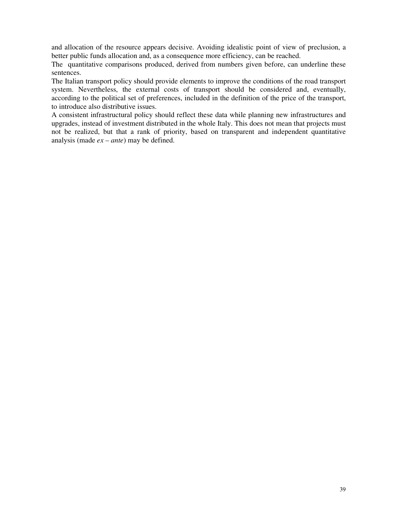and allocation of the resource appears decisive. Avoiding idealistic point of view of preclusion, a better public funds allocation and, as a consequence more efficiency, can be reached.

The quantitative comparisons produced, derived from numbers given before, can underline these sentences.

The Italian transport policy should provide elements to improve the conditions of the road transport system. Nevertheless, the external costs of transport should be considered and, eventually, according to the political set of preferences, included in the definition of the price of the transport, to introduce also distributive issues.

A consistent infrastructural policy should reflect these data while planning new infrastructures and upgrades, instead of investment distributed in the whole Italy. This does not mean that projects must not be realized, but that a rank of priority, based on transparent and independent quantitative analysis (made *ex – ante*) may be defined.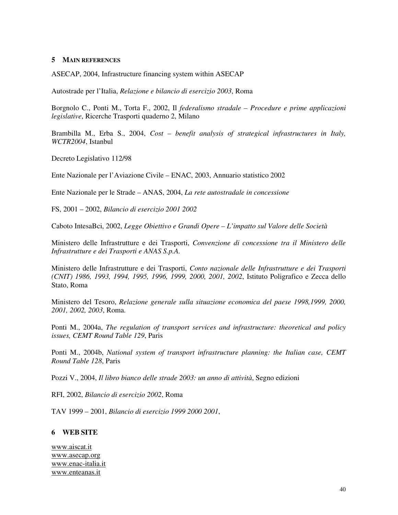## **5 MAIN REFERENCES**

ASECAP, 2004, Infrastructure financing system within ASECAP

Autostrade per l'Italia, *Relazione e bilancio di esercizio 2003*, Roma

Borgnolo C., Ponti M., Torta F., 2002, Il *federalismo stradale – Procedure e prime applicazioni legislative*, Ricerche Trasporti quaderno 2, Milano

Brambilla M., Erba S., 2004, *Cost – benefit analysis of strategical infrastructures in Italy, WCTR2004*, Istanbul

Decreto Legislativo 112/98

Ente Nazionale per l'Aviazione Civile – ENAC, 2003, Annuario statistico 2002

Ente Nazionale per le Strade – ANAS, 2004, *La rete autostradale in concessione*

FS, 2001 – 2002, *Bilancio di esercizio 2001 2002*

Caboto IntesaBci, 2002, *Legge Obiettivo e Grandi Opere – L'impatto sul Valore delle Società*

Ministero delle Infrastrutture e dei Trasporti, *Convenzione di concessione tra il Ministero delle Infrastrutture e dei Trasporti e ANAS S.p.A.*

Ministero delle Infrastrutture e dei Trasporti, *Conto nazionale delle Infrastrutture e dei Trasporti (CNIT) 1986, 1993, 1994, 1995, 1996, 1999, 2000, 2001, 2002*, Istituto Poligrafico e Zecca dello Stato, Roma

Ministero del Tesoro, *Relazione generale sulla situazione economica del paese 1998,1999, 2000, 2001, 2002, 2003*, Roma.

Ponti M., 2004a, *The regulation of transport services and infrastructure: theoretical and policy issues, CEMT Round Table 129*, Paris

Ponti M., 2004b, *National system of transport infrastructure planning: the Italian case, CEMT Round Table 128*, Paris

Pozzi V., 2004, *Il libro bianco delle strade 2003: un anno di attività*, Segno edizioni

RFI, 2002, *Bilancio di esercizio 2002*, Roma

TAV 1999 – 2001, *Bilancio di esercizio 1999 2000 2001*,

## **6 WEB SITE**

www.aiscat.it www.asecap.org www.enac-italia.it www.enteanas.it